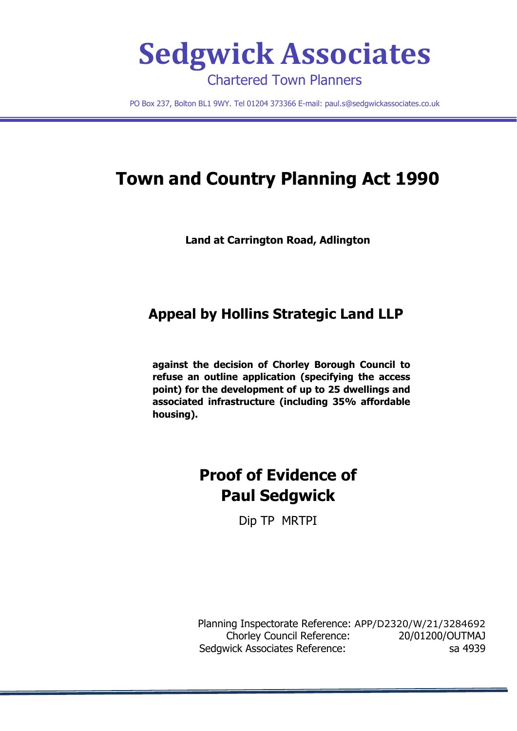

PO Box 237, Bolton BL1 9WY. Tel 01204 373366 E-mail: [paul.s@sedgwickassociates.co.uk](mailto:paul.s@sedgwickassociates.co.uk)

# **Town and Country Planning Act 1990**

**Land at Carrington Road, Adlington**

## **Appeal by Hollins Strategic Land LLP**

**against the decision of Chorley Borough Council to refuse an outline application (specifying the access point) for the development of up to 25 dwellings and associated infrastructure (including 35% affordable housing).**

## **Proof of Evidence of Paul Sedgwick**

Dip TP MRTPI

Planning Inspectorate Reference: APP/D2320/W/21/3284692 Chorley Council Reference: 20/01200/OUTMAJ Sedgwick Associates Reference: sa 4939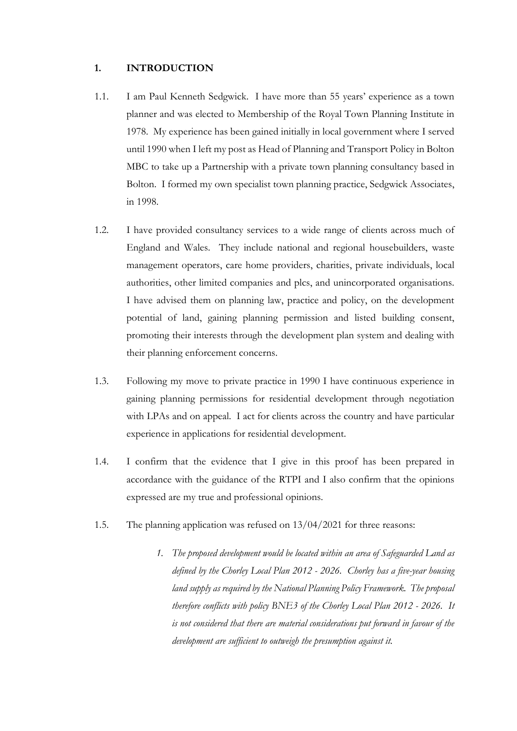#### **1. INTRODUCTION**

- 1.1. I am Paul Kenneth Sedgwick. I have more than 55 years' experience as a town planner and was elected to Membership of the Royal Town Planning Institute in 1978. My experience has been gained initially in local government where I served until 1990 when I left my post as Head of Planning and Transport Policy in Bolton MBC to take up a Partnership with a private town planning consultancy based in Bolton. I formed my own specialist town planning practice, Sedgwick Associates, in 1998.
- 1.2. I have provided consultancy services to a wide range of clients across much of England and Wales. They include national and regional housebuilders, waste management operators, care home providers, charities, private individuals, local authorities, other limited companies and plcs, and unincorporated organisations. I have advised them on planning law, practice and policy, on the development potential of land, gaining planning permission and listed building consent, promoting their interests through the development plan system and dealing with their planning enforcement concerns.
- 1.3. Following my move to private practice in 1990 I have continuous experience in gaining planning permissions for residential development through negotiation with LPAs and on appeal. I act for clients across the country and have particular experience in applications for residential development.
- 1.4. I confirm that the evidence that I give in this proof has been prepared in accordance with the guidance of the RTPI and I also confirm that the opinions expressed are my true and professional opinions.
- 1.5. The planning application was refused on 13/04/2021 for three reasons:
	- *1. The proposed development would be located within an area of Safeguarded Land as defined by the Chorley Local Plan 2012 - 2026. Chorley has a five-year housing land supply as required by the National Planning Policy Framework. The proposal therefore conflicts with policy BNE3 of the Chorley Local Plan 2012 - 2026. It is not considered that there are material considerations put forward in favour of the development are sufficient to outweigh the presumption against it.*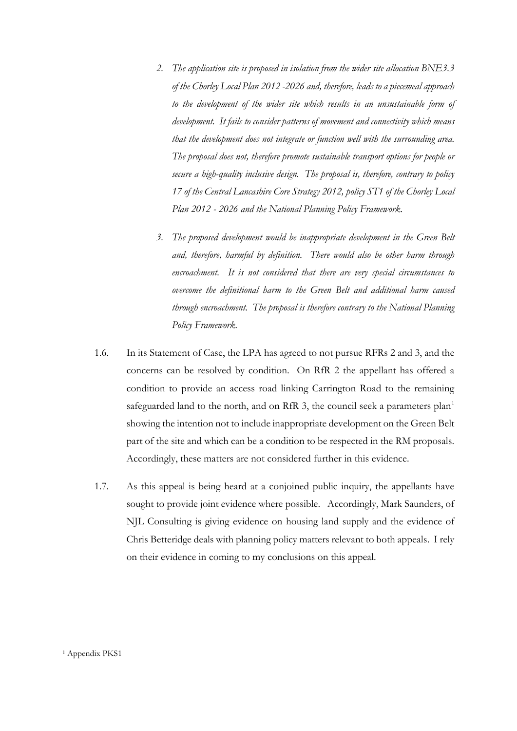- *2. The application site is proposed in isolation from the wider site allocation BNE3.3 of the Chorley Local Plan 2012 -2026 and, therefore, leads to a piecemeal approach to the development of the wider site which results in an unsustainable form of development. It fails to consider patterns of movement and connectivity which means that the development does not integrate or function well with the surrounding area. The proposal does not, therefore promote sustainable transport options for people or secure a high-quality inclusive design. The proposal is, therefore, contrary to policy 17 of the Central Lancashire Core Strategy 2012, policy ST1 of the Chorley Local Plan 2012 - 2026 and the National Planning Policy Framework.*
- *3. The proposed development would be inappropriate development in the Green Belt and, therefore, harmful by definition. There would also be other harm through encroachment. It is not considered that there are very special circumstances to overcome the definitional harm to the Green Belt and additional harm caused through encroachment. The proposal is therefore contrary to the National Planning Policy Framework.*
- 1.6. In its Statement of Case, the LPA has agreed to not pursue RFRs 2 and 3, and the concerns can be resolved by condition. On RfR 2 the appellant has offered a condition to provide an access road linking Carrington Road to the remaining safeguarded land to the north, and on RfR 3, the council seek a parameters plan<sup>[1](#page-2-0)</sup> showing the intention not to include inappropriate development on the Green Belt part of the site and which can be a condition to be respected in the RM proposals. Accordingly, these matters are not considered further in this evidence.
- 1.7. As this appeal is being heard at a conjoined public inquiry, the appellants have sought to provide joint evidence where possible. Accordingly, Mark Saunders, of NJL Consulting is giving evidence on housing land supply and the evidence of Chris Betteridge deals with planning policy matters relevant to both appeals. I rely on their evidence in coming to my conclusions on this appeal.

<span id="page-2-0"></span><sup>&</sup>lt;sup>1</sup> Appendix PKS1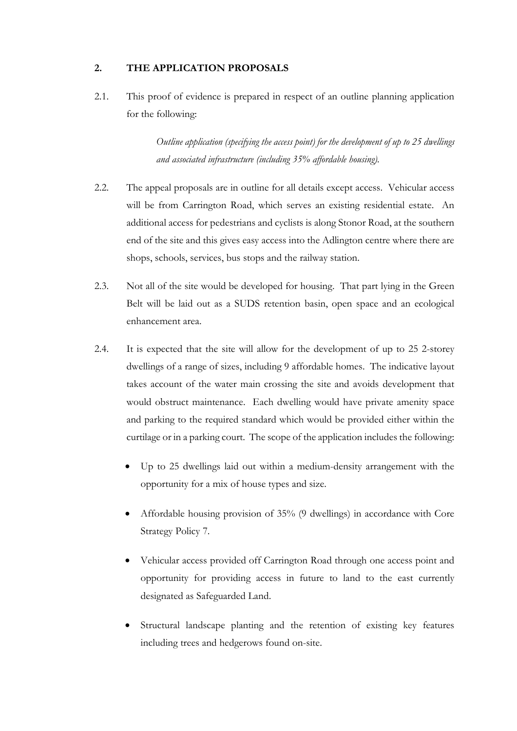## **2. THE APPLICATION PROPOSALS**

2.1. This proof of evidence is prepared in respect of an outline planning application for the following:

> *Outline application (specifying the access point) for the development of up to 25 dwellings and associated infrastructure (including 35% affordable housing).*

- 2.2. The appeal proposals are in outline for all details except access. Vehicular access will be from Carrington Road, which serves an existing residential estate. An additional access for pedestrians and cyclists is along Stonor Road, at the southern end of the site and this gives easy access into the Adlington centre where there are shops, schools, services, bus stops and the railway station.
- 2.3. Not all of the site would be developed for housing. That part lying in the Green Belt will be laid out as a SUDS retention basin, open space and an ecological enhancement area.
- 2.4. It is expected that the site will allow for the development of up to 25 2-storey dwellings of a range of sizes, including 9 affordable homes. The indicative layout takes account of the water main crossing the site and avoids development that would obstruct maintenance. Each dwelling would have private amenity space and parking to the required standard which would be provided either within the curtilage or in a parking court. The scope of the application includes the following:
	- Up to 25 dwellings laid out within a medium-density arrangement with the opportunity for a mix of house types and size.
	- Affordable housing provision of 35% (9 dwellings) in accordance with Core Strategy Policy 7.
	- Vehicular access provided off Carrington Road through one access point and opportunity for providing access in future to land to the east currently designated as Safeguarded Land.
	- Structural landscape planting and the retention of existing key features including trees and hedgerows found on-site.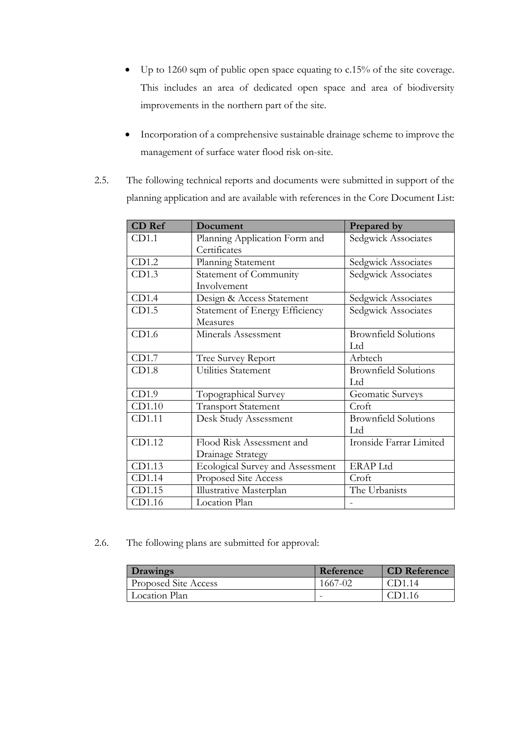- Up to 1260 sqm of public open space equating to c.15% of the site coverage. This includes an area of dedicated open space and area of biodiversity improvements in the northern part of the site.
- Incorporation of a comprehensive sustainable drainage scheme to improve the management of surface water flood risk on-site.
- 2.5. The following technical reports and documents were submitted in support of the planning application and are available with references in the Core Document List:

| <b>CD</b> Ref | Document                         | Prepared by                 |
|---------------|----------------------------------|-----------------------------|
| CD1.1         | Planning Application Form and    | Sedgwick Associates         |
|               | Certificates                     |                             |
| CD1.2         | Planning Statement               | Sedgwick Associates         |
| CD1.3         | Statement of Community           | Sedgwick Associates         |
|               | Involvement                      |                             |
| CD1.4         | Design & Access Statement        | Sedgwick Associates         |
| CD1.5         | Statement of Energy Efficiency   | Sedgwick Associates         |
|               | Measures                         |                             |
| CD1.6         | Minerals Assessment              | <b>Brownfield Solutions</b> |
|               |                                  | Ltd                         |
| CD1.7         | Tree Survey Report               | Arbtech                     |
| CD1.8         | Utilities Statement              | <b>Brownfield Solutions</b> |
|               |                                  | Ltd                         |
| CD1.9         | Topographical Survey             | Geomatic Surveys            |
| CD1.10        | <b>Transport Statement</b>       | Croft                       |
| CD1.11        | Desk Study Assessment            | <b>Brownfield Solutions</b> |
|               |                                  | Ltd                         |
| CD1.12        | Flood Risk Assessment and        | Ironside Farrar Limited     |
|               | Drainage Strategy                |                             |
| CD1.13        | Ecological Survey and Assessment | <b>ERAP Ltd</b>             |
| CD1.14        | Proposed Site Access             | Croft                       |
| CD1.15        | Illustrative Masterplan          | The Urbanists               |
| CD1.16        | Location Plan                    |                             |

2.6. The following plans are submitted for approval:

| <b>Drawings</b>      | Reference                | <b>CD</b> Reference |
|----------------------|--------------------------|---------------------|
| Proposed Site Access | 1667-02                  |                     |
| Location Plan        | $\overline{\phantom{0}}$ |                     |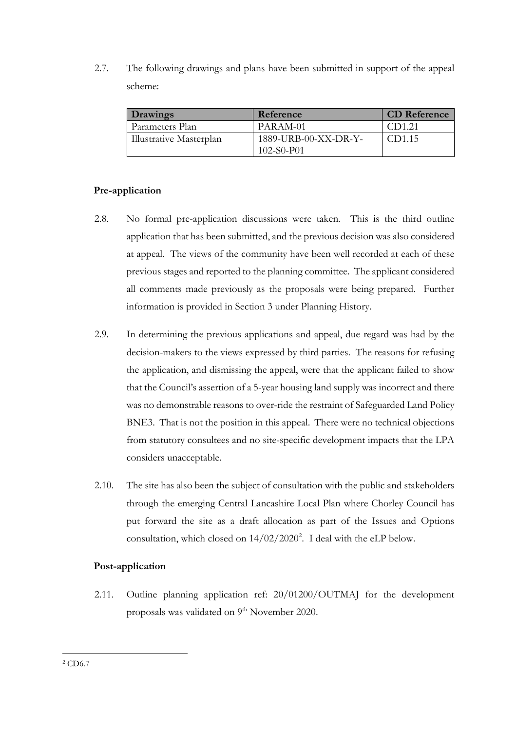2.7. The following drawings and plans have been submitted in support of the appeal scheme:

| <b>Drawings</b>         | Reference            | <b>CD</b> Reference |
|-------------------------|----------------------|---------------------|
| Parameters Plan         | PARAM-01             | CD1.21              |
| Illustrative Masterplan | 1889-URB-00-XX-DR-Y- | CD1.15              |
|                         | $102-S0-P01$         |                     |

## **Pre-application**

- 2.8. No formal pre-application discussions were taken. This is the third outline application that has been submitted, and the previous decision was also considered at appeal. The views of the community have been well recorded at each of these previous stages and reported to the planning committee. The applicant considered all comments made previously as the proposals were being prepared. Further information is provided in Section 3 under Planning History.
- 2.9. In determining the previous applications and appeal, due regard was had by the decision-makers to the views expressed by third parties. The reasons for refusing the application, and dismissing the appeal, were that the applicant failed to show that the Council's assertion of a 5-year housing land supply was incorrect and there was no demonstrable reasons to over-ride the restraint of Safeguarded Land Policy BNE3. That is not the position in this appeal. There were no technical objections from statutory consultees and no site-specific development impacts that the LPA considers unacceptable.
- 2.10. The site has also been the subject of consultation with the public and stakeholders through the emerging Central Lancashire Local Plan where Chorley Council has put forward the site as a draft allocation as part of the Issues and Options consultation, which closed on  $14/02/2020^2$  $14/02/2020^2$  $14/02/2020^2$ . I deal with the eLP below.

## **Post-application**

<span id="page-5-0"></span>2.11. Outline planning application ref: 20/01200/OUTMAJ for the development proposals was validated on 9<sup>th</sup> November 2020.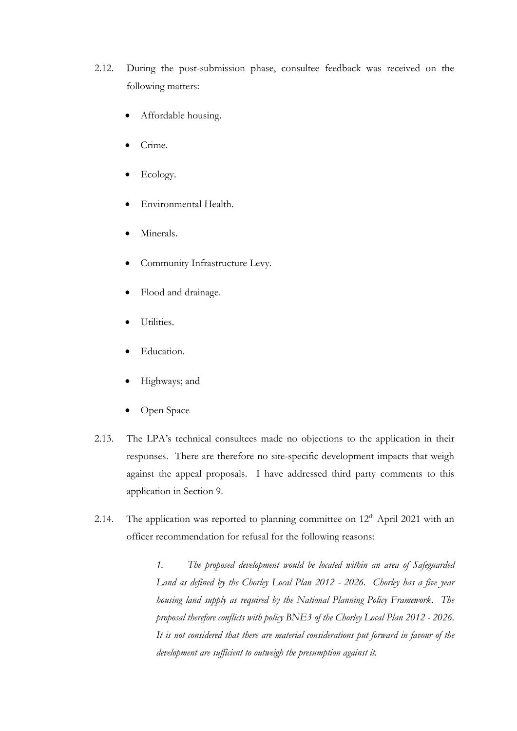- 2.12. During the post-submission phase, consultee feedback was received on the following matters:
	- Affordable housing.
	- Crime.
	- Ecology.
	- Environmental Health.
	- Minerals.
	- Community Infrastructure Levy.
	- Flood and drainage.
	- Utilities.
	- Education.
	- Highways; and
	- Open Space
- 2.13. The LPA's technical consultees made no objections to the application in their responses. There are therefore no site-specific development impacts that weigh against the appeal proposals. I have addressed third party comments to this application in Section 9.
- 2.14. The application was reported to planning committee on  $12<sup>th</sup>$  April 2021 with an officer recommendation for refusal for the following reasons:

*1. The proposed development would be located within an area of Safeguarded Land as defined by the Chorley Local Plan 2012 - 2026. Chorley has a five year housing land supply as required by the National Planning Policy Framework. The proposal therefore conflicts with policy BNE3 of the Chorley Local Plan 2012 - 2026. It is not considered that there are material considerations put forward in favour of the development are sufficient to outweigh the presumption against it.*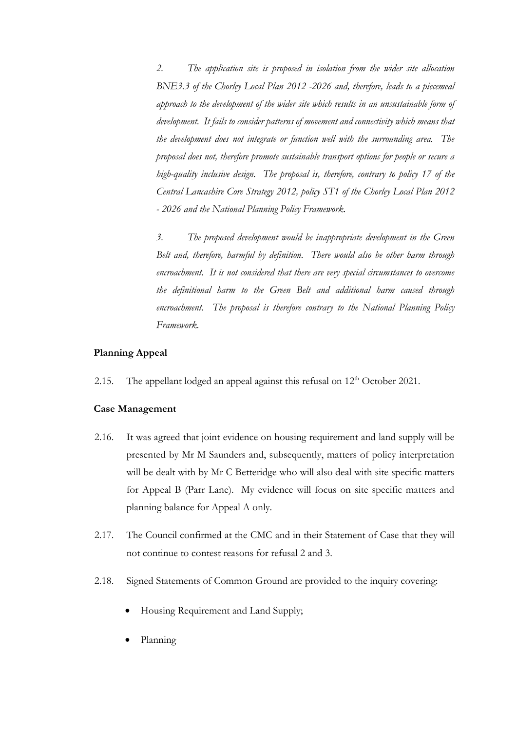*2. The application site is proposed in isolation from the wider site allocation BNE3.3 of the Chorley Local Plan 2012 -2026 and, therefore, leads to a piecemeal approach to the development of the wider site which results in an unsustainable form of development. It fails to consider patterns of movement and connectivity which means that the development does not integrate or function well with the surrounding area. The proposal does not, therefore promote sustainable transport options for people or secure a high-quality inclusive design. The proposal is, therefore, contrary to policy 17 of the Central Lancashire Core Strategy 2012, policy ST1 of the Chorley Local Plan 2012 - 2026 and the National Planning Policy Framework.* 

*3. The proposed development would be inappropriate development in the Green Belt and, therefore, harmful by definition. There would also be other harm through encroachment. It is not considered that there are very special circumstances to overcome the definitional harm to the Green Belt and additional harm caused through*  encroachment. The proposal is therefore contrary to the National Planning Policy *Framework.*

#### **Planning Appeal**

2.15. The appellant lodged an appeal against this refusal on  $12<sup>th</sup>$  October 2021.

#### **Case Management**

- 2.16. It was agreed that joint evidence on housing requirement and land supply will be presented by Mr M Saunders and, subsequently, matters of policy interpretation will be dealt with by Mr C Betteridge who will also deal with site specific matters for Appeal B (Parr Lane). My evidence will focus on site specific matters and planning balance for Appeal A only.
- 2.17. The Council confirmed at the CMC and in their Statement of Case that they will not continue to contest reasons for refusal 2 and 3.
- 2.18. Signed Statements of Common Ground are provided to the inquiry covering:
	- Housing Requirement and Land Supply;
	- Planning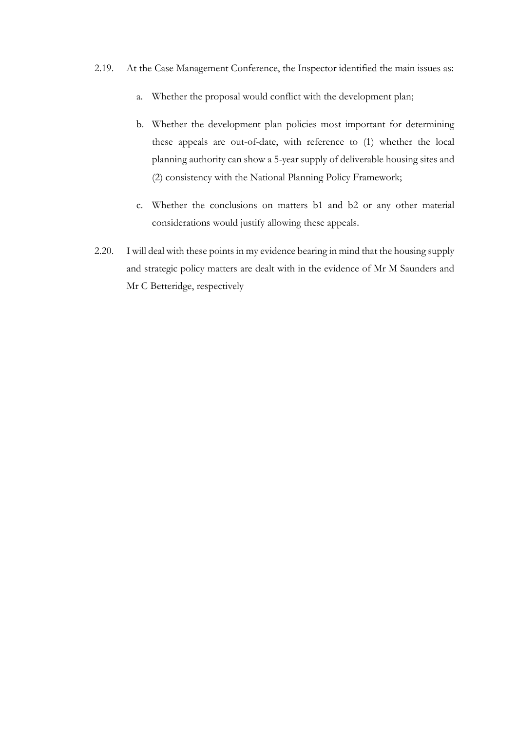- 2.19. At the Case Management Conference, the Inspector identified the main issues as:
	- a. Whether the proposal would conflict with the development plan;
	- b. Whether the development plan policies most important for determining these appeals are out-of-date, with reference to (1) whether the local planning authority can show a 5-year supply of deliverable housing sites and (2) consistency with the National Planning Policy Framework;
	- c. Whether the conclusions on matters b1 and b2 or any other material considerations would justify allowing these appeals.
- 2.20. I will deal with these points in my evidence bearing in mind that the housing supply and strategic policy matters are dealt with in the evidence of Mr M Saunders and Mr C Betteridge, respectively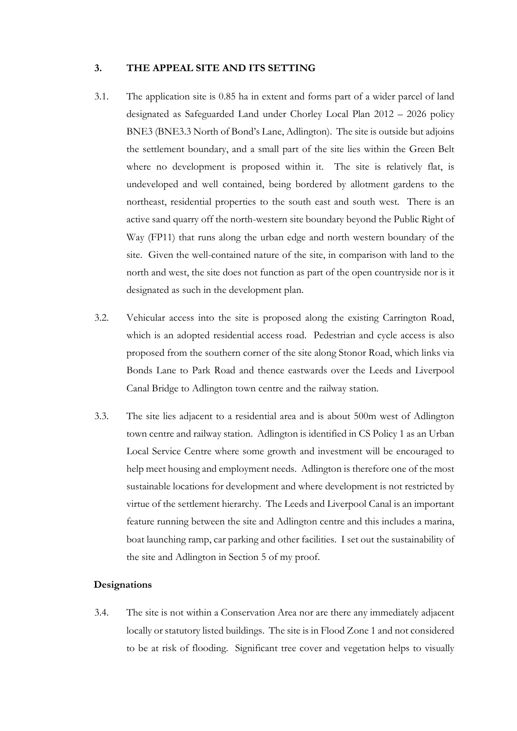#### **3. THE APPEAL SITE AND ITS SETTING**

- 3.1. The application site is 0.85 ha in extent and forms part of a wider parcel of land designated as Safeguarded Land under Chorley Local Plan 2012 – 2026 policy BNE3 (BNE3.3 North of Bond's Lane, Adlington). The site is outside but adjoins the settlement boundary, and a small part of the site lies within the Green Belt where no development is proposed within it. The site is relatively flat, is undeveloped and well contained, being bordered by allotment gardens to the northeast, residential properties to the south east and south west. There is an active sand quarry off the north-western site boundary beyond the Public Right of Way (FP11) that runs along the urban edge and north western boundary of the site. Given the well-contained nature of the site, in comparison with land to the north and west, the site does not function as part of the open countryside nor is it designated as such in the development plan.
- 3.2. Vehicular access into the site is proposed along the existing Carrington Road, which is an adopted residential access road. Pedestrian and cycle access is also proposed from the southern corner of the site along Stonor Road, which links via Bonds Lane to Park Road and thence eastwards over the Leeds and Liverpool Canal Bridge to Adlington town centre and the railway station.
- 3.3. The site lies adjacent to a residential area and is about 500m west of Adlington town centre and railway station. Adlington is identified in CS Policy 1 as an Urban Local Service Centre where some growth and investment will be encouraged to help meet housing and employment needs. Adlington is therefore one of the most sustainable locations for development and where development is not restricted by virtue of the settlement hierarchy. The Leeds and Liverpool Canal is an important feature running between the site and Adlington centre and this includes a marina, boat launching ramp, car parking and other facilities. I set out the sustainability of the site and Adlington in Section 5 of my proof.

#### **Designations**

3.4. The site is not within a Conservation Area nor are there any immediately adjacent locally or statutory listed buildings. The site is in Flood Zone 1 and not considered to be at risk of flooding. Significant tree cover and vegetation helps to visually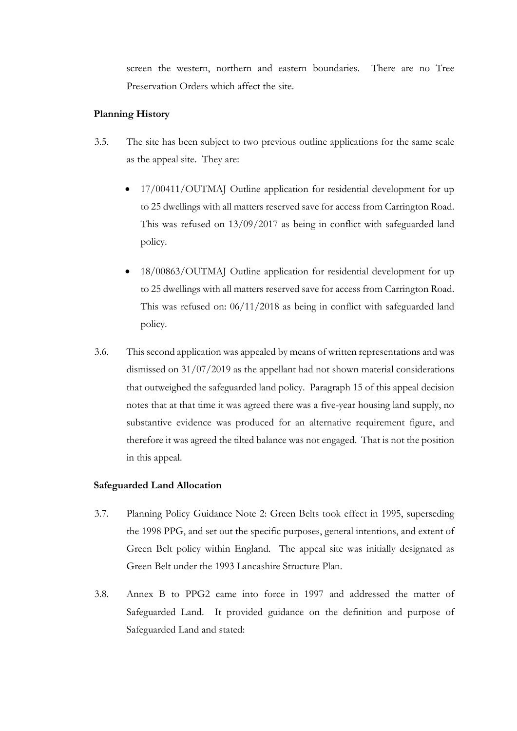screen the western, northern and eastern boundaries. There are no Tree Preservation Orders which affect the site.

## **Planning History**

- 3.5. The site has been subject to two previous outline applications for the same scale as the appeal site. They are:
	- 17/00411/OUTMAJ Outline application for residential development for up to 25 dwellings with all matters reserved save for access from Carrington Road. This was refused on 13/09/2017 as being in conflict with safeguarded land policy.
	- 18/00863/OUTMAJ Outline application for residential development for up to 25 dwellings with all matters reserved save for access from Carrington Road. This was refused on: 06/11/2018 as being in conflict with safeguarded land policy.
- 3.6. This second application was appealed by means of written representations and was dismissed on 31/07/2019 as the appellant had not shown material considerations that outweighed the safeguarded land policy. Paragraph 15 of this appeal decision notes that at that time it was agreed there was a five-year housing land supply, no substantive evidence was produced for an alternative requirement figure, and therefore it was agreed the tilted balance was not engaged. That is not the position in this appeal.

## **Safeguarded Land Allocation**

- 3.7. Planning Policy Guidance Note 2: Green Belts took effect in 1995, superseding the 1998 PPG, and set out the specific purposes, general intentions, and extent of Green Belt policy within England. The appeal site was initially designated as Green Belt under the 1993 Lancashire Structure Plan.
- 3.8. Annex B to PPG2 came into force in 1997 and addressed the matter of Safeguarded Land. It provided guidance on the definition and purpose of Safeguarded Land and stated: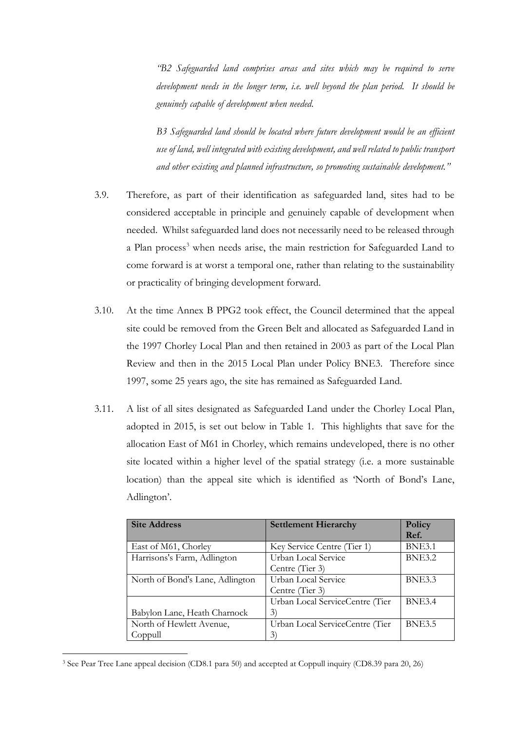*"B2 Safeguarded land comprises areas and sites which may be required to serve development needs in the longer term, i.e. well beyond the plan period. It should be genuinely capable of development when needed.*

*B3 Safeguarded land should be located where future development would be an efficient use of land, well integrated with existing development, and well related to public transport and other existing and planned infrastructure, so promoting sustainable development."*

- 3.9. Therefore, as part of their identification as safeguarded land, sites had to be considered acceptable in principle and genuinely capable of development when needed. Whilst safeguarded land does not necessarily need to be released through a Plan process<sup>[3](#page-11-0)</sup> when needs arise, the main restriction for Safeguarded Land to come forward is at worst a temporal one, rather than relating to the sustainability or practicality of bringing development forward.
- 3.10. At the time Annex B PPG2 took effect, the Council determined that the appeal site could be removed from the Green Belt and allocated as Safeguarded Land in the 1997 Chorley Local Plan and then retained in 2003 as part of the Local Plan Review and then in the 2015 Local Plan under Policy BNE3. Therefore since 1997, some 25 years ago, the site has remained as Safeguarded Land.
- 3.11. A list of all sites designated as Safeguarded Land under the Chorley Local Plan, adopted in 2015, is set out below in Table 1. This highlights that save for the allocation East of M61 in Chorley, which remains undeveloped, there is no other site located within a higher level of the spatial strategy (i.e. a more sustainable location) than the appeal site which is identified as 'North of Bond's Lane, Adlington'.

| <b>Site Address</b>             | <b>Settlement Hierarchy</b>     | Policy        |
|---------------------------------|---------------------------------|---------------|
|                                 |                                 | Ref.          |
| East of M61, Chorley            | Key Service Centre (Tier 1)     | <b>BNE3.1</b> |
| Harrisons's Farm, Adlington     | Urban Local Service             | <b>BNE3.2</b> |
|                                 | Centre (Tier 3)                 |               |
| North of Bond's Lane, Adlington | Urban Local Service             | <b>BNE3.3</b> |
|                                 | Centre (Tier 3)                 |               |
|                                 | Urban Local ServiceCentre (Tier | <b>BNE3.4</b> |
| Babylon Lane, Heath Charnock    | 3)                              |               |
| North of Hewlett Avenue,        | Urban Local ServiceCentre (Tier | <b>BNE3.5</b> |
| Coppull                         | $\mathfrak{Z}$                  |               |

<span id="page-11-0"></span><sup>3</sup> See Pear Tree Lane appeal decision (CD8.1 para 50) and accepted at Coppull inquiry (CD8.39 para 20, 26)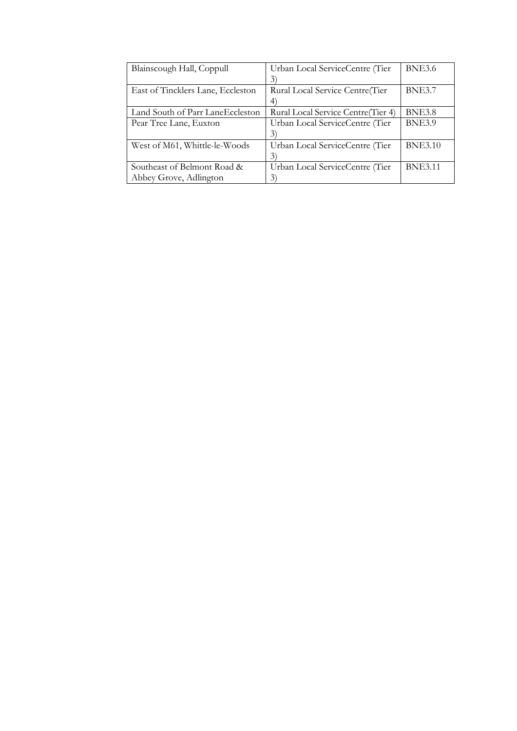| Blainscough Hall, Coppull         | Urban Local ServiceCentre (Tier    | <b>BNE3.6</b>  |
|-----------------------------------|------------------------------------|----------------|
|                                   | 3)                                 |                |
| East of Tincklers Lane, Eccleston | Rural Local Service Centre (Tier   | <b>BNE3.7</b>  |
|                                   | $\ket{4}$                          |                |
| Land South of Parr LaneEccleston  | Rural Local Service Centre(Tier 4) | <b>BNE3.8</b>  |
| Pear Tree Lane, Euxton            | Urban Local ServiceCentre (Tier    | <b>BNE3.9</b>  |
|                                   | 3)                                 |                |
| West of M61, Whittle-le-Woods     | Urban Local ServiceCentre (Tier    | <b>BNE3.10</b> |
|                                   | 3)                                 |                |
| Southeast of Belmont Road &       | Urban Local ServiceCentre (Tier    | <b>BNE3.11</b> |
| Abbey Grove, Adlington            | 3)                                 |                |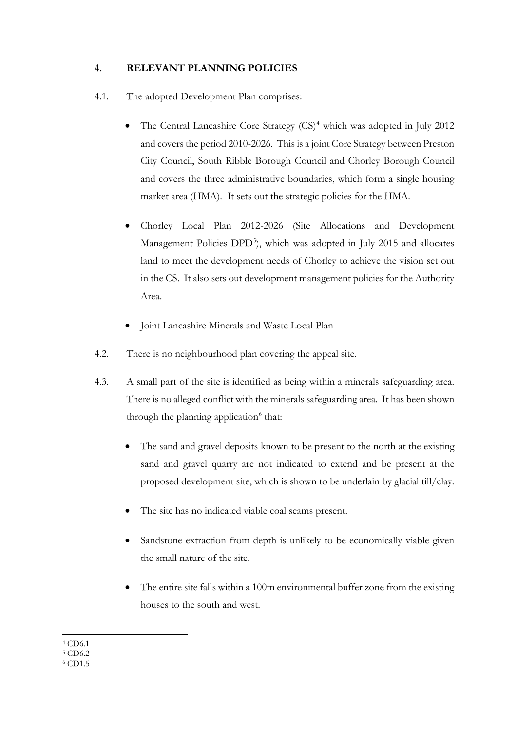## **4. RELEVANT PLANNING POLICIES**

- 4.1. The adopted Development Plan comprises:
	- The Central Lancashire Core Strategy  $(CS)^4$  $(CS)^4$  which was adopted in July 2012 and covers the period 2010-2026. This is a joint Core Strategy between Preston City Council, South Ribble Borough Council and Chorley Borough Council and covers the three administrative boundaries, which form a single housing market area (HMA). It sets out the strategic policies for the HMA.
	- Chorley Local Plan 2012-2026 (Site Allocations and Development Management Policies DPD<sup>[5](#page-13-1)</sup>), which was adopted in July 2015 and allocates land to meet the development needs of Chorley to achieve the vision set out in the CS. It also sets out development management policies for the Authority Area.
	- Joint Lancashire Minerals and Waste Local Plan
- 4.2. There is no neighbourhood plan covering the appeal site.
- 4.3. A small part of the site is identified as being within a minerals safeguarding area. There is no alleged conflict with the minerals safeguarding area. It has been shown through the planning application $6$  that:
	- The sand and gravel deposits known to be present to the north at the existing sand and gravel quarry are not indicated to extend and be present at the proposed development site, which is shown to be underlain by glacial till/clay.
	- The site has no indicated viable coal seams present.
	- Sandstone extraction from depth is unlikely to be economically viable given the small nature of the site.
	- The entire site falls within a 100m environmental buffer zone from the existing houses to the south and west.

<sup>4</sup> CD6.1

<span id="page-13-1"></span><span id="page-13-0"></span><sup>5</sup> CD6.2

<span id="page-13-2"></span><sup>6</sup> CD1.5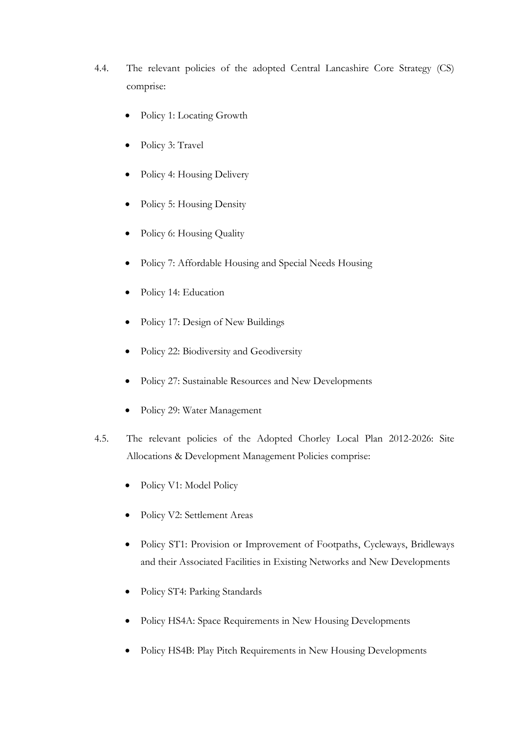- 4.4. The relevant policies of the adopted Central Lancashire Core Strategy (CS) comprise:
	- Policy 1: Locating Growth
	- Policy 3: Travel
	- Policy 4: Housing Delivery
	- Policy 5: Housing Density
	- Policy 6: Housing Quality
	- Policy 7: Affordable Housing and Special Needs Housing
	- Policy 14: Education
	- Policy 17: Design of New Buildings
	- Policy 22: Biodiversity and Geodiversity
	- Policy 27: Sustainable Resources and New Developments
	- Policy 29: Water Management
- 4.5. The relevant policies of the Adopted Chorley Local Plan 2012-2026: Site Allocations & Development Management Policies comprise:
	- Policy V1: Model Policy
	- Policy V2: Settlement Areas
	- Policy ST1: Provision or Improvement of Footpaths, Cycleways, Bridleways and their Associated Facilities in Existing Networks and New Developments
	- Policy ST4: Parking Standards
	- Policy HS4A: Space Requirements in New Housing Developments
	- Policy HS4B: Play Pitch Requirements in New Housing Developments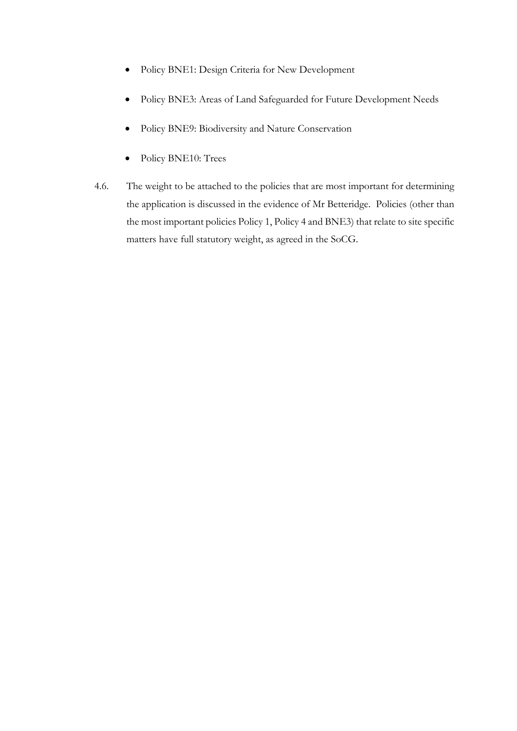- Policy BNE1: Design Criteria for New Development
- Policy BNE3: Areas of Land Safeguarded for Future Development Needs
- Policy BNE9: Biodiversity and Nature Conservation
- Policy BNE10: Trees
- 4.6. The weight to be attached to the policies that are most important for determining the application is discussed in the evidence of Mr Betteridge. Policies (other than the most important policies Policy 1, Policy 4 and BNE3) that relate to site specific matters have full statutory weight, as agreed in the SoCG.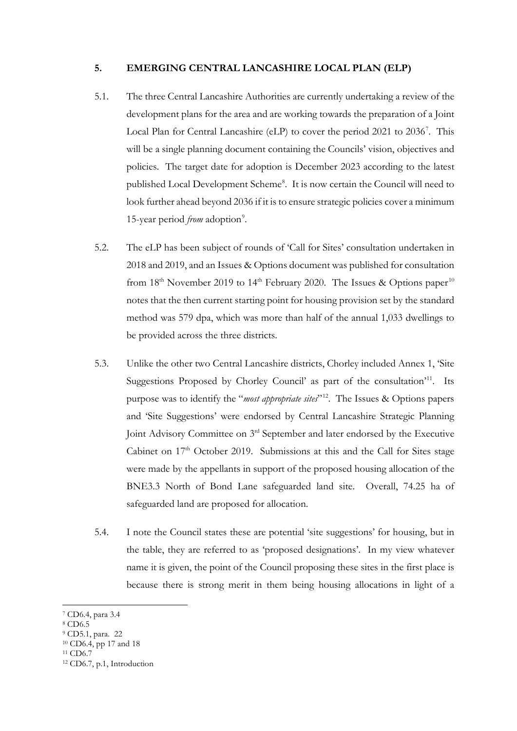#### **5. EMERGING CENTRAL LANCASHIRE LOCAL PLAN (ELP)**

- 5.1. The three Central Lancashire Authorities are currently undertaking a review of the development plans for the area and are working towards the preparation of a Joint Local Plan for Central Lancashire (eLP) to cover the period 2021 to 2036<sup>[7](#page-16-0)</sup>. This will be a single planning document containing the Councils' vision, objectives and policies. The target date for adoption is December 2023 according to the latest published Local Development Scheme<sup>[8](#page-16-1)</sup>. It is now certain the Council will need to look further ahead beyond 2036 if it is to ensure strategic policies cover a minimum 15-year period *from* adoption<sup>[9](#page-16-2)</sup>.
- 5.2. The eLP has been subject of rounds of 'Call for Sites' consultation undertaken in 2018 and 2019, and an Issues & Options document was published for consultation from  $18<sup>th</sup>$  November 2019 to  $14<sup>th</sup>$  February 2020. The Issues & Options paper<sup>[10](#page-16-3)</sup> notes that the then current starting point for housing provision set by the standard method was 579 dpa, which was more than half of the annual 1,033 dwellings to be provided across the three districts.
- 5.3. Unlike the other two Central Lancashire districts, Chorley included Annex 1, 'Site Suggestions Proposed by Chorley Council' as part of the consultation<sup>[11](#page-16-4)</sup>. Its purpose was to identify the "*most appropriate sites*"[12](#page-16-5). The Issues & Options papers and 'Site Suggestions' were endorsed by Central Lancashire Strategic Planning Joint Advisory Committee on 3rd September and later endorsed by the Executive Cabinet on  $17<sup>th</sup>$  October 2019. Submissions at this and the Call for Sites stage were made by the appellants in support of the proposed housing allocation of the BNE3.3 North of Bond Lane safeguarded land site. Overall, 74.25 ha of safeguarded land are proposed for allocation.
- 5.4. I note the Council states these are potential 'site suggestions' for housing, but in the table, they are referred to as 'proposed designations'. In my view whatever name it is given, the point of the Council proposing these sites in the first place is because there is strong merit in them being housing allocations in light of a

<span id="page-16-0"></span><sup>7</sup> CD6.4, para 3.4

<span id="page-16-1"></span><sup>8</sup> CD6.5

<span id="page-16-2"></span><sup>9</sup> CD5.1, para. 22

<sup>&</sup>lt;sup>10</sup> CD6.4, pp 17 and 18

<span id="page-16-4"></span><span id="page-16-3"></span><sup>11</sup> CD6.7

<span id="page-16-5"></span><sup>12</sup> CD6.7, p.1, Introduction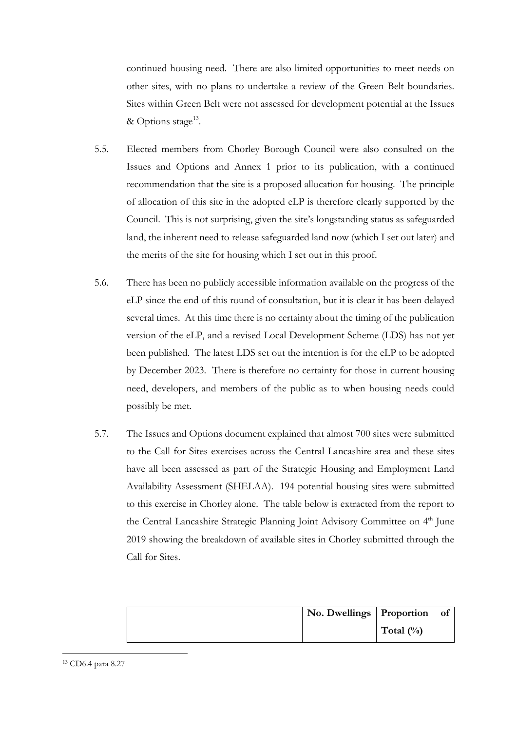continued housing need. There are also limited opportunities to meet needs on other sites, with no plans to undertake a review of the Green Belt boundaries. Sites within Green Belt were not assessed for development potential at the Issues & Options stage<sup>13</sup>.

- 5.5. Elected members from Chorley Borough Council were also consulted on the Issues and Options and Annex 1 prior to its publication, with a continued recommendation that the site is a proposed allocation for housing. The principle of allocation of this site in the adopted eLP is therefore clearly supported by the Council. This is not surprising, given the site's longstanding status as safeguarded land, the inherent need to release safeguarded land now (which I set out later) and the merits of the site for housing which I set out in this proof.
- 5.6. There has been no publicly accessible information available on the progress of the eLP since the end of this round of consultation, but it is clear it has been delayed several times. At this time there is no certainty about the timing of the publication version of the eLP, and a revised Local Development Scheme (LDS) has not yet been published. The latest LDS set out the intention is for the eLP to be adopted by December 2023. There is therefore no certainty for those in current housing need, developers, and members of the public as to when housing needs could possibly be met.
- 5.7. The Issues and Options document explained that almost 700 sites were submitted to the Call for Sites exercises across the Central Lancashire area and these sites have all been assessed as part of the Strategic Housing and Employment Land Availability Assessment (SHELAA). 194 potential housing sites were submitted to this exercise in Chorley alone. The table below is extracted from the report to the Central Lancashire Strategic Planning Joint Advisory Committee on 4<sup>th</sup> June 2019 showing the breakdown of available sites in Chorley submitted through the Call for Sites.

| No. Dwellings Proportion of |              |  |
|-----------------------------|--------------|--|
|                             | Total $(\%)$ |  |

<span id="page-17-0"></span><sup>13</sup> CD6.4 para 8.27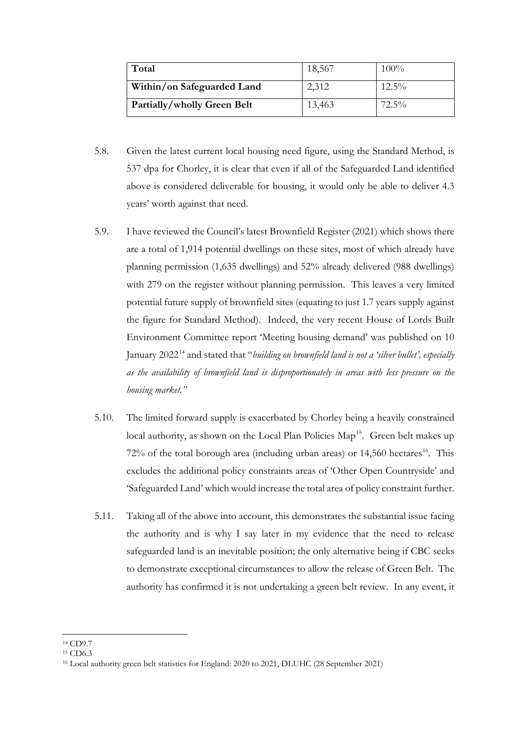| Total                       | 18,567 | 100%     |
|-----------------------------|--------|----------|
| Within/on Safeguarded Land  | 2,312  | $12.5\%$ |
| Partially/wholly Green Belt | 13,463 | $72.5\%$ |

- 5.8. Given the latest current local housing need figure, using the Standard Method, is 537 dpa for Chorley, it is clear that even if all of the Safeguarded Land identified above is considered deliverable for housing, it would only be able to deliver 4.3 years' worth against that need.
- 5.9. I have reviewed the Council's latest Brownfield Register (2021) which shows there are a total of 1,914 potential dwellings on these sites, most of which already have planning permission (1,635 dwellings) and 52% already delivered (988 dwellings) with 279 on the register without planning permission. This leaves a very limited potential future supply of brownfield sites (equating to just 1.7 years supply against the figure for Standard Method). Indeed, the very recent House of Lords Built Environment Committee report 'Meeting housing demand' was published on 10 January 2022[14](#page-18-0) and stated that "*building on brownfield land is not a 'silver bullet', especially as the availability of brownfield land is disproportionately in areas with less pressure on the housing market."*
- 5.10. The limited forward supply is exacerbated by Chorley being a heavily constrained local authority, as shown on the Local Plan Policies Map<sup>15</sup>. Green belt makes up  $72\%$  of the total borough area (including urban areas) or  $14,560$  hectares<sup>[16](#page-18-2)</sup>. This excludes the additional policy constraints areas of 'Other Open Countryside' and 'Safeguarded Land' which would increase the total area of policy constraint further.
- 5.11. Taking all of the above into account, this demonstrates the substantial issue facing the authority and is why I say later in my evidence that the need to release safeguarded land is an inevitable position; the only alternative being if CBC seeks to demonstrate exceptional circumstances to allow the release of Green Belt. The authority has confirmed it is not undertaking a green belt review. In any event, it

<span id="page-18-0"></span><sup>14</sup> CD9.7

<span id="page-18-1"></span><sup>15</sup> CD6.3

<span id="page-18-2"></span><sup>16</sup> Local authority green belt statistics for England: 2020 to 2021, DLUHC (28 September 2021)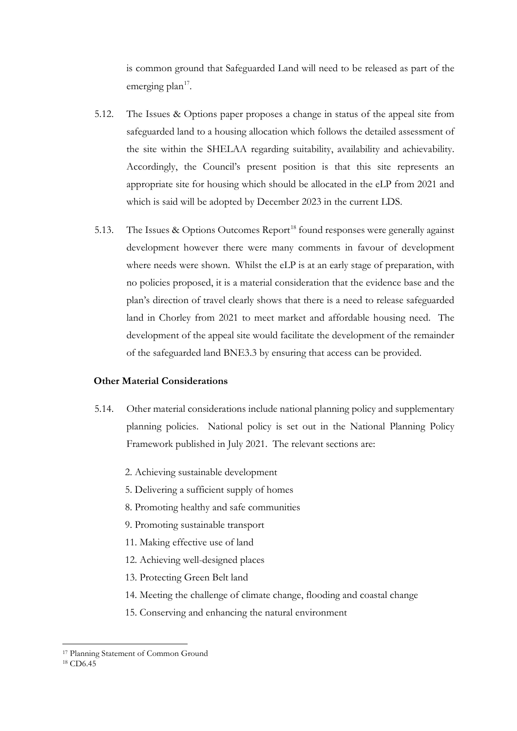is common ground that Safeguarded Land will need to be released as part of the emerging plan<sup>[17](#page-19-0)</sup>.

- 5.12. The Issues & Options paper proposes a change in status of the appeal site from safeguarded land to a housing allocation which follows the detailed assessment of the site within the SHELAA regarding suitability, availability and achievability. Accordingly, the Council's present position is that this site represents an appropriate site for housing which should be allocated in the eLP from 2021 and which is said will be adopted by December 2023 in the current LDS.
- 5.13. The Issues & Options Outcomes Report<sup>[18](#page-19-1)</sup> found responses were generally against development however there were many comments in favour of development where needs were shown. Whilst the eLP is at an early stage of preparation, with no policies proposed, it is a material consideration that the evidence base and the plan's direction of travel clearly shows that there is a need to release safeguarded land in Chorley from 2021 to meet market and affordable housing need. The development of the appeal site would facilitate the development of the remainder of the safeguarded land BNE3.3 by ensuring that access can be provided.

#### **Other Material Considerations**

- 5.14. Other material considerations include national planning policy and supplementary planning policies. National policy is set out in the National Planning Policy Framework published in July 2021. The relevant sections are:
	- 2. Achieving sustainable development
	- 5. Delivering a sufficient supply of homes
	- 8. Promoting healthy and safe communities
	- 9. Promoting sustainable transport
	- 11. Making effective use of land
	- 12. Achieving well-designed places
	- 13. Protecting Green Belt land
	- 14. Meeting the challenge of climate change, flooding and coastal change
	- 15. Conserving and enhancing the natural environment

<sup>17</sup> Planning Statement of Common Ground

<span id="page-19-1"></span><span id="page-19-0"></span><sup>18</sup> CD6.45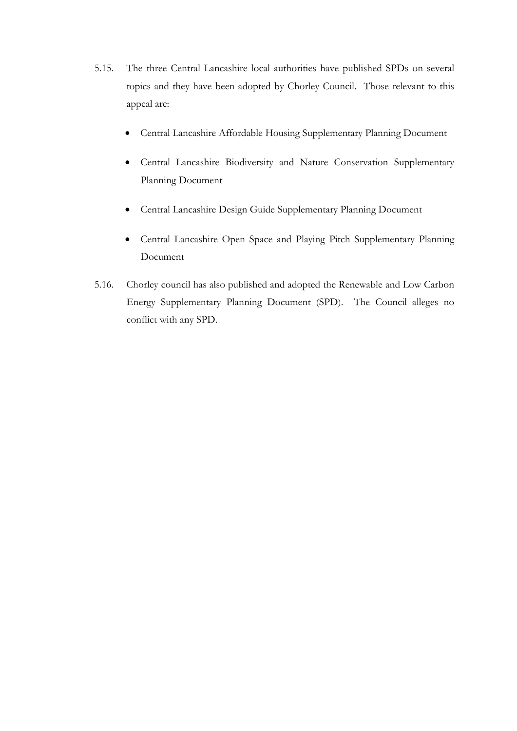- 5.15. The three Central Lancashire local authorities have published SPDs on several topics and they have been adopted by Chorley Council. Those relevant to this appeal are:
	- Central Lancashire Affordable Housing Supplementary Planning Document
	- Central Lancashire Biodiversity and Nature Conservation Supplementary Planning Document
	- Central Lancashire Design Guide Supplementary Planning Document
	- Central Lancashire Open Space and Playing Pitch Supplementary Planning Document
- 5.16. Chorley council has also published and adopted the Renewable and Low Carbon Energy Supplementary Planning Document (SPD). The Council alleges no conflict with any SPD.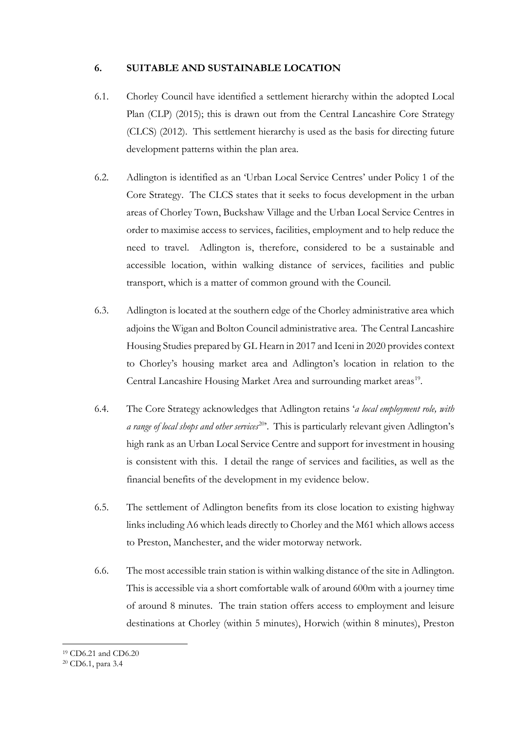#### **6. SUITABLE AND SUSTAINABLE LOCATION**

- 6.1. Chorley Council have identified a settlement hierarchy within the adopted Local Plan (CLP) (2015); this is drawn out from the Central Lancashire Core Strategy (CLCS) (2012). This settlement hierarchy is used as the basis for directing future development patterns within the plan area.
- 6.2. Adlington is identified as an 'Urban Local Service Centres' under Policy 1 of the Core Strategy. The CLCS states that it seeks to focus development in the urban areas of Chorley Town, Buckshaw Village and the Urban Local Service Centres in order to maximise access to services, facilities, employment and to help reduce the need to travel. Adlington is, therefore, considered to be a sustainable and accessible location, within walking distance of services, facilities and public transport, which is a matter of common ground with the Council.
- 6.3. Adlington is located at the southern edge of the Chorley administrative area which adjoins the Wigan and Bolton Council administrative area. The Central Lancashire Housing Studies prepared by GL Hearn in 2017 and Iceni in 2020 provides context to Chorley's housing market area and Adlington's location in relation to the Central Lancashire Housing Market Area and surrounding market areas<sup>[19](#page-21-0)</sup>.
- 6.4. The Core Strategy acknowledges that Adlington retains '*a local employment role, with a range of local shops and other services*[20'](#page-21-1). This is particularly relevant given Adlington's high rank as an Urban Local Service Centre and support for investment in housing is consistent with this. I detail the range of services and facilities, as well as the financial benefits of the development in my evidence below.
- 6.5. The settlement of Adlington benefits from its close location to existing highway links including A6 which leads directly to Chorley and the M61 which allows access to Preston, Manchester, and the wider motorway network.
- 6.6. The most accessible train station is within walking distance of the site in Adlington. This is accessible via a short comfortable walk of around 600m with a journey time of around 8 minutes. The train station offers access to employment and leisure destinations at Chorley (within 5 minutes), Horwich (within 8 minutes), Preston

<sup>19</sup> CD6.21 and CD6.20

<span id="page-21-1"></span><span id="page-21-0"></span><sup>20</sup> CD6.1, para 3.4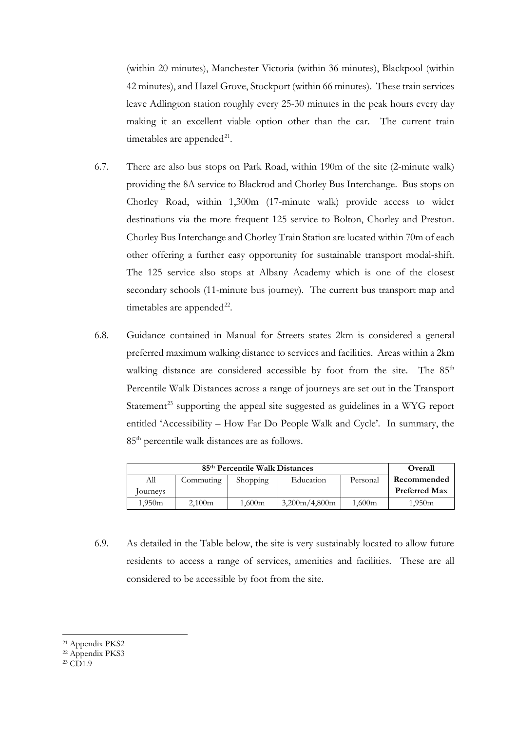(within 20 minutes), Manchester Victoria (within 36 minutes), Blackpool (within 42 minutes), and Hazel Grove, Stockport (within 66 minutes). These train services leave Adlington station roughly every 25-30 minutes in the peak hours every day making it an excellent viable option other than the car. The current train timetables are appended $^{21}$ .

- 6.7. There are also bus stops on Park Road, within 190m of the site (2-minute walk) providing the 8A service to Blackrod and Chorley Bus Interchange. Bus stops on Chorley Road, within 1,300m (17-minute walk) provide access to wider destinations via the more frequent 125 service to Bolton, Chorley and Preston. Chorley Bus Interchange and Chorley Train Station are located within 70m of each other offering a further easy opportunity for sustainable transport modal-shift. The 125 service also stops at Albany Academy which is one of the closest secondary schools (11-minute bus journey). The current bus transport map and timetables are appended<sup>22</sup>.
- 6.8. Guidance contained in Manual for Streets states 2km is considered a general preferred maximum walking distance to services and facilities. Areas within a 2km walking distance are considered accessible by foot from the site. The 85<sup>th</sup> Percentile Walk Distances across a range of journeys are set out in the Transport Statement<sup>[23](#page-22-2)</sup> supporting the appeal site suggested as guidelines in a WYG report entitled 'Accessibility – How Far Do People Walk and Cycle'. In summary, the 85th percentile walk distances are as follows.

| 85 <sup>th</sup> Percentile Walk Distances |           |                 |               | Overall  |                      |
|--------------------------------------------|-----------|-----------------|---------------|----------|----------------------|
| Аll                                        | Commuting | <b>Shopping</b> | Education     | Personal | Recommended          |
| Journeys                                   |           |                 |               |          | <b>Preferred Max</b> |
| 1.950m                                     | 2,100m    | 1,600m          | 3,200m/4,800m | 1,600m   | 1.950m               |

- 6.9. As detailed in the Table below, the site is very sustainably located to allow future residents to access a range of services, amenities and facilities. These are all considered to be accessible by foot from the site.
- <span id="page-22-0"></span><sup>21</sup> Appendix PKS2
- <span id="page-22-1"></span><sup>22</sup> Appendix PKS3

<span id="page-22-2"></span> $^{23}$  CD<sub>1.9</sub>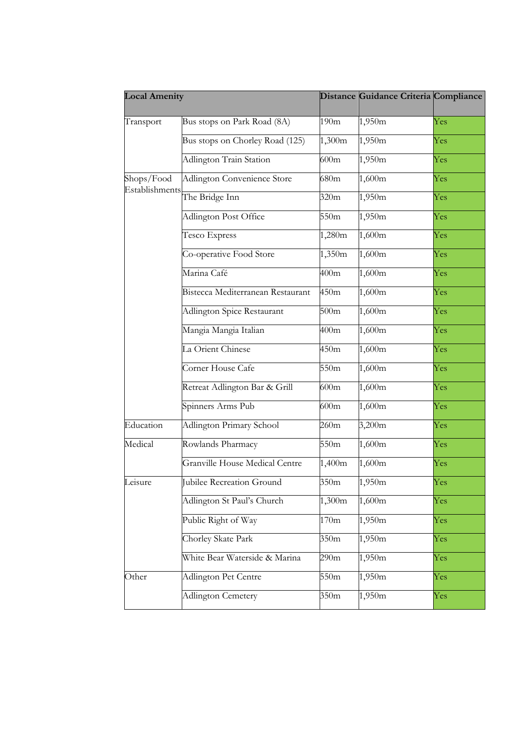| <b>Local Amenity</b> |                                   |                  | Distance Guidance Criteria Compliance |     |
|----------------------|-----------------------------------|------------------|---------------------------------------|-----|
| Transport            | Bus stops on Park Road (8A)       | 190m             | 1,950m                                | Yes |
|                      | Bus stops on Chorley Road (125)   | 1,300m           | 1,950m                                | Yes |
|                      | Adlington Train Station           | 600m             | 1,950m                                | Yes |
| Shops/Food           | Adlington Convenience Store       | 680m             | 1,600m                                | Yes |
| Establishments       | The Bridge Inn                    | 320m             | 1,950m                                | Yes |
|                      | Adlington Post Office             | 550m             | 1,950m                                | Yes |
|                      | Tesco Express                     | 1,280m           | 1,600m                                | Yes |
|                      | Co-operative Food Store           | 1,350m           | 1,600m                                | Yes |
|                      | Marina Café                       | 400m             | 1,600m                                | Yes |
|                      | Bistecca Mediterranean Restaurant | 450m             | 1,600m                                | Yes |
|                      | Adlington Spice Restaurant        | 500m             | 1,600m                                | Yes |
|                      | Mangia Mangia Italian             | 400m             | 1,600m                                | Yes |
|                      | La Orient Chinese                 | 450m             | 1,600m                                | Yes |
|                      | Corner House Cafe                 | 550m             | 1,600m                                | Yes |
|                      | Retreat Adlington Bar & Grill     | 600m             | 1,600m                                | Yes |
|                      | Spinners Arms Pub                 | 600m             | 1,600m                                | Yes |
| Education            | Adlington Primary School          | 260m             | 3,200m                                | Yes |
| Medical              | Rowlands Pharmacy                 | 550m             | 1,600m                                | Yes |
|                      | Granville House Medical Centre    | 1,400m           | 1,600m                                | Yes |
| Leisure              | Jubilee Recreation Ground         | 350m             | 1,950m                                | Yes |
|                      | Adlington St Paul's Church        | 1,300m           | 1,600m                                | Yes |
|                      | Public Right of Way               | 170m             | 1,950m                                | Yes |
|                      | Chorley Skate Park                | 350 <sub>m</sub> | 1,950m                                | Yes |
|                      | White Bear Waterside & Marina     | 290m             | 1,950m                                | Yes |
| Other                | Adlington Pet Centre              | 550m             | 1,950m                                | Yes |
|                      | Adlington Cemetery                | 350 <sub>m</sub> | 1,950m                                | Yes |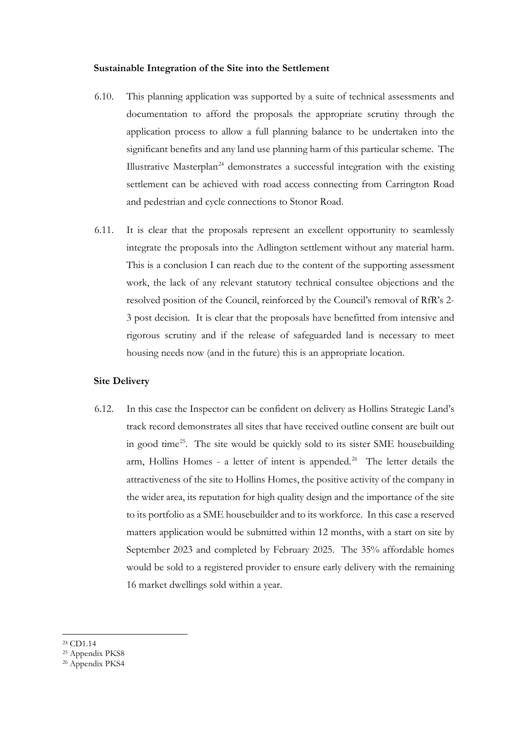#### **Sustainable Integration of the Site into the Settlement**

- 6.10. This planning application was supported by a suite of technical assessments and documentation to afford the proposals the appropriate scrutiny through the application process to allow a full planning balance to be undertaken into the significant benefits and any land use planning harm of this particular scheme. The Illustrative Masterplan<sup>[24](#page-24-0)</sup> demonstrates a successful integration with the existing settlement can be achieved with road access connecting from Carrington Road and pedestrian and cycle connections to Stonor Road.
- 6.11. It is clear that the proposals represent an excellent opportunity to seamlessly integrate the proposals into the Adlington settlement without any material harm. This is a conclusion I can reach due to the content of the supporting assessment work, the lack of any relevant statutory technical consultee objections and the resolved position of the Council, reinforced by the Council's removal of RfR's 2- 3 post decision. It is clear that the proposals have benefitted from intensive and rigorous scrutiny and if the release of safeguarded land is necessary to meet housing needs now (and in the future) this is an appropriate location.

#### **Site Delivery**

- 6.12. In this case the Inspector can be confident on delivery as Hollins Strategic Land's track record demonstrates all sites that have received outline consent are built out in good time[25.](#page-24-1) The site would be quickly sold to its sister SME housebuilding arm, Hollins Homes - a letter of intent is appended.<sup>26</sup> The letter details the attractiveness of the site to Hollins Homes, the positive activity of the company in the wider area, its reputation for high quality design and the importance of the site to its portfolio as a SME housebuilder and to its workforce. In this case a reserved matters application would be submitted within 12 months, with a start on site by September 2023 and completed by February 2025. The 35% affordable homes would be sold to a registered provider to ensure early delivery with the remaining 16 market dwellings sold within a year.
- <sup>24</sup> CD1.14

<span id="page-24-1"></span><span id="page-24-0"></span><sup>25</sup> Appendix PKS8

<span id="page-24-2"></span><sup>&</sup>lt;sup>26</sup> Appendix PKS4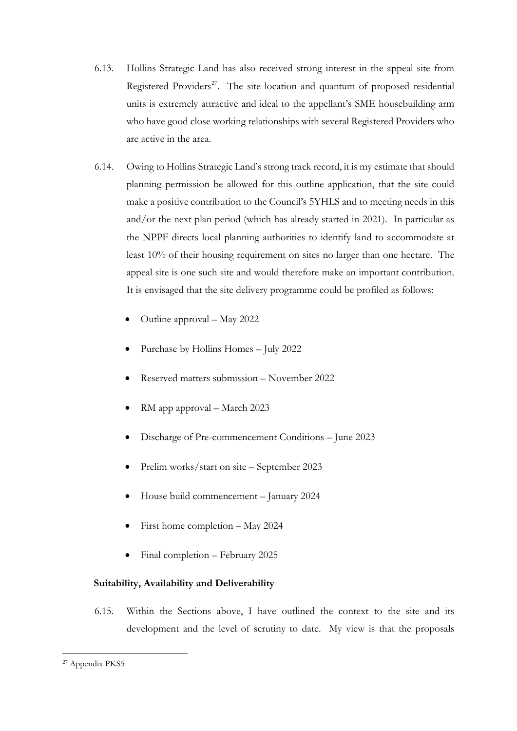- 6.13. Hollins Strategic Land has also received strong interest in the appeal site from Registered Providers<sup>[27](#page-25-0)</sup>. The site location and quantum of proposed residential units is extremely attractive and ideal to the appellant's SME housebuilding arm who have good close working relationships with several Registered Providers who are active in the area.
- 6.14. Owing to Hollins Strategic Land's strong track record, it is my estimate that should planning permission be allowed for this outline application, that the site could make a positive contribution to the Council's 5YHLS and to meeting needs in this and/or the next plan period (which has already started in 2021). In particular as the NPPF directs local planning authorities to identify land to accommodate at least 10% of their housing requirement on sites no larger than one hectare. The appeal site is one such site and would therefore make an important contribution. It is envisaged that the site delivery programme could be profiled as follows:
	- Outline approval May 2022
	- Purchase by Hollins Homes July 2022
	- Reserved matters submission November 2022
	- RM app approval March 2023
	- Discharge of Pre-commencement Conditions June 2023
	- Prelim works/start on site September 2023
	- House build commencement January 2024
	- First home completion May 2024
	- Final completion February 2025

## **Suitability, Availability and Deliverability**

6.15. Within the Sections above, I have outlined the context to the site and its development and the level of scrutiny to date. My view is that the proposals

<span id="page-25-0"></span><sup>27</sup> Appendix PKS5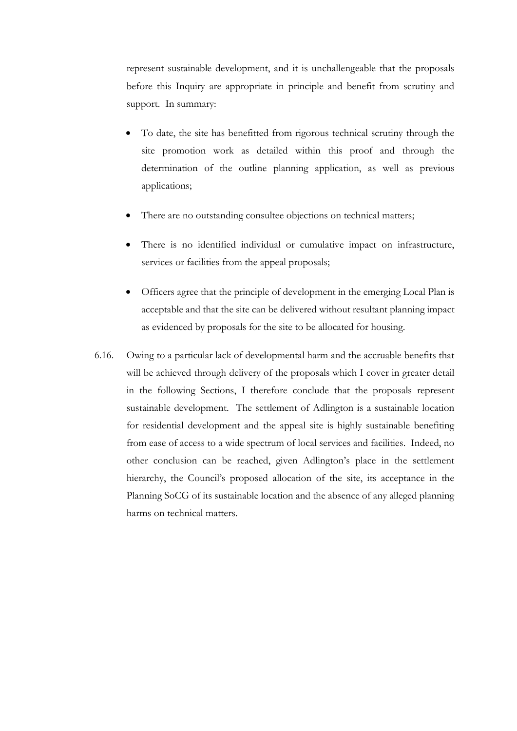represent sustainable development, and it is unchallengeable that the proposals before this Inquiry are appropriate in principle and benefit from scrutiny and support. In summary:

- To date, the site has benefitted from rigorous technical scrutiny through the site promotion work as detailed within this proof and through the determination of the outline planning application, as well as previous applications;
- There are no outstanding consultee objections on technical matters;
- There is no identified individual or cumulative impact on infrastructure, services or facilities from the appeal proposals;
- Officers agree that the principle of development in the emerging Local Plan is acceptable and that the site can be delivered without resultant planning impact as evidenced by proposals for the site to be allocated for housing.
- 6.16. Owing to a particular lack of developmental harm and the accruable benefits that will be achieved through delivery of the proposals which I cover in greater detail in the following Sections, I therefore conclude that the proposals represent sustainable development. The settlement of Adlington is a sustainable location for residential development and the appeal site is highly sustainable benefiting from ease of access to a wide spectrum of local services and facilities. Indeed, no other conclusion can be reached, given Adlington's place in the settlement hierarchy, the Council's proposed allocation of the site, its acceptance in the Planning SoCG of its sustainable location and the absence of any alleged planning harms on technical matters.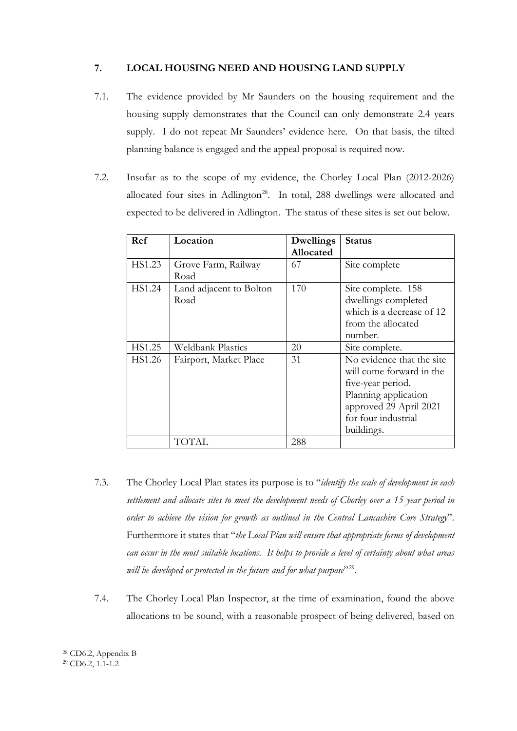## **7. LOCAL HOUSING NEED AND HOUSING LAND SUPPLY**

- 7.1. The evidence provided by Mr Saunders on the housing requirement and the housing supply demonstrates that the Council can only demonstrate 2.4 years supply. I do not repeat Mr Saunders' evidence here. On that basis, the tilted planning balance is engaged and the appeal proposal is required now.
- 7.2. Insofar as to the scope of my evidence, the Chorley Local Plan (2012-2026) allocated four sites in Adlington<sup>[28](#page-27-0)</sup>. In total, 288 dwellings were allocated and expected to be delivered in Adlington. The status of these sites is set out below.

| Ref    | Location                 | <b>Dwellings</b> | <b>Status</b>             |
|--------|--------------------------|------------------|---------------------------|
|        |                          | Allocated        |                           |
| HS1.23 | Grove Farm, Railway      | 67               | Site complete             |
|        | Road                     |                  |                           |
| HS1.24 | Land adjacent to Bolton  | 170              | Site complete. 158        |
|        | Road                     |                  | dwellings completed       |
|        |                          |                  | which is a decrease of 12 |
|        |                          |                  | from the allocated        |
|        |                          |                  | number.                   |
| HS1.25 | <b>Weldbank Plastics</b> | 20               | Site complete.            |
| HS1.26 | Fairport, Market Place   | 31               | No evidence that the site |
|        |                          |                  | will come forward in the  |
|        |                          |                  | five-year period.         |
|        |                          |                  | Planning application      |
|        |                          |                  | approved 29 April 2021    |
|        |                          |                  | for four industrial       |
|        |                          |                  | buildings.                |
|        | TOTAL                    | 288              |                           |

- 7.3. The Chorley Local Plan states its purpose is to "*identify the scale of development in each settlement and allocate sites to meet the development needs of Chorley over a 15 year period in order to achieve the vision for growth as outlined in the Central Lancashire Core Strategy*". Furthermore it states that "*the Local Plan will ensure that appropriate forms of development can occur in the most suitable locations. It helps to provide a level of certainty about what areas*  will be developed or protected in the future and for what purpose<sup>"[29](#page-27-1)</sup>.
- 7.4. The Chorley Local Plan Inspector, at the time of examination, found the above allocations to be sound, with a reasonable prospect of being delivered, based on

<span id="page-27-0"></span><sup>28</sup> CD6.2, Appendix B

<span id="page-27-1"></span> $29 \text{ CD}6.2, 1.1-1.2$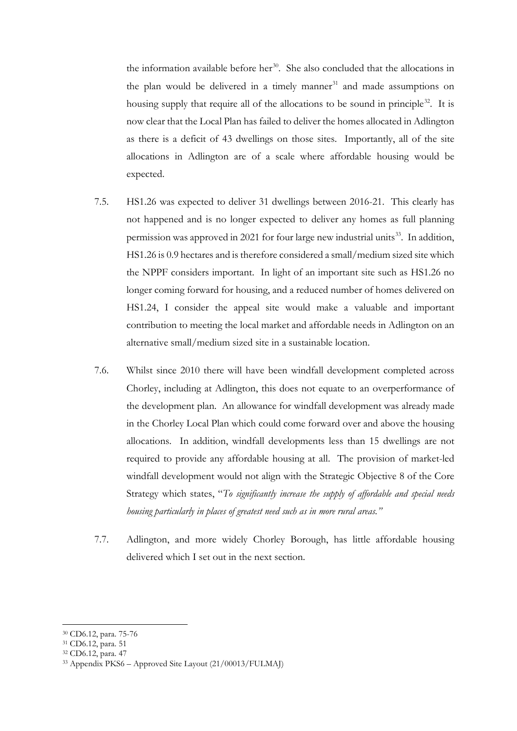the information available before her $30$ . She also concluded that the allocations in the plan would be delivered in a timely manner<sup>[31](#page-28-1)</sup> and made assumptions on housing supply that require all of the allocations to be sound in principle<sup>[32](#page-28-2)</sup>. It is now clear that the Local Plan has failed to deliver the homes allocated in Adlington as there is a deficit of 43 dwellings on those sites. Importantly, all of the site allocations in Adlington are of a scale where affordable housing would be expected.

- 7.5. HS1.26 was expected to deliver 31 dwellings between 2016-21. This clearly has not happened and is no longer expected to deliver any homes as full planning permission was approved in 2021 for four large new industrial units<sup>33</sup>. In addition, HS1.26 is 0.9 hectares and is therefore considered a small/medium sized site which the NPPF considers important. In light of an important site such as HS1.26 no longer coming forward for housing, and a reduced number of homes delivered on HS1.24, I consider the appeal site would make a valuable and important contribution to meeting the local market and affordable needs in Adlington on an alternative small/medium sized site in a sustainable location.
- 7.6. Whilst since 2010 there will have been windfall development completed across Chorley, including at Adlington, this does not equate to an overperformance of the development plan. An allowance for windfall development was already made in the Chorley Local Plan which could come forward over and above the housing allocations. In addition, windfall developments less than 15 dwellings are not required to provide any affordable housing at all. The provision of market-led windfall development would not align with the Strategic Objective 8 of the Core Strategy which states, "*To significantly increase the supply of affordable and special needs housing particularly in places of greatest need such as in more rural areas."*
- 7.7. Adlington, and more widely Chorley Borough, has little affordable housing delivered which I set out in the next section.

<sup>30</sup> CD6.12, para. 75-76

<span id="page-28-1"></span><span id="page-28-0"></span><sup>31</sup> CD6.12, para. 51

<span id="page-28-2"></span><sup>32</sup> CD6.12, para. 47

<span id="page-28-3"></span><sup>33</sup> Appendix PKS6 – Approved Site Layout (21/00013/FULMAJ)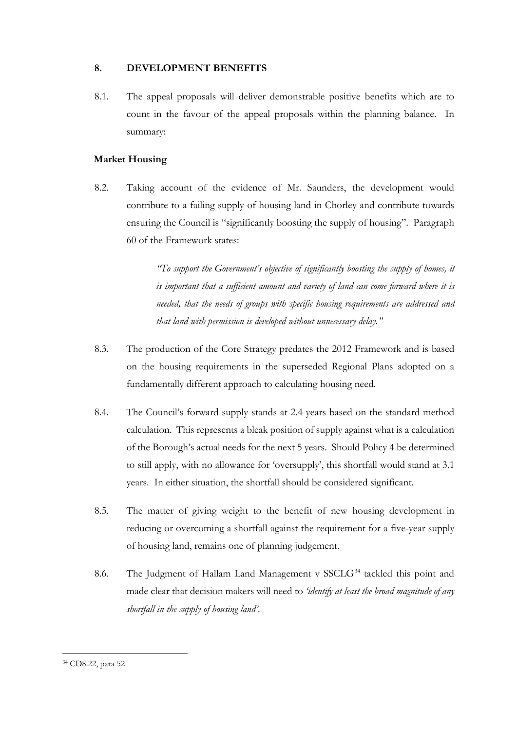## **8. DEVELOPMENT BENEFITS**

8.1. The appeal proposals will deliver demonstrable positive benefits which are to count in the favour of the appeal proposals within the planning balance. In summary:

## **Market Housing**

8.2. Taking account of the evidence of Mr. Saunders, the development would contribute to a failing supply of housing land in Chorley and contribute towards ensuring the Council is "significantly boosting the supply of housing". Paragraph 60 of the Framework states:

> *"To support the Government's objective of significantly boosting the supply of homes, it is important that a sufficient amount and variety of land can come forward where it is needed, that the needs of groups with specific housing requirements are addressed and that land with permission is developed without unnecessary delay."*

- 8.3. The production of the Core Strategy predates the 2012 Framework and is based on the housing requirements in the superseded Regional Plans adopted on a fundamentally different approach to calculating housing need.
- 8.4. The Council's forward supply stands at 2.4 years based on the standard method calculation. This represents a bleak position of supply against what is a calculation of the Borough's actual needs for the next 5 years. Should Policy 4 be determined to still apply, with no allowance for 'oversupply', this shortfall would stand at 3.1 years. In either situation, the shortfall should be considered significant.
- 8.5. The matter of giving weight to the benefit of new housing development in reducing or overcoming a shortfall against the requirement for a five-year supply of housing land, remains one of planning judgement.
- 8.6. The Judgment of Hallam Land Management v  $SSCLG<sup>34</sup>$  $SSCLG<sup>34</sup>$  $SSCLG<sup>34</sup>$  tackled this point and made clear that decision makers will need to *'identify at least the broad magnitude of any shortfall in the supply of housing land'*.

<span id="page-29-0"></span><sup>34</sup> CD8.22, para 52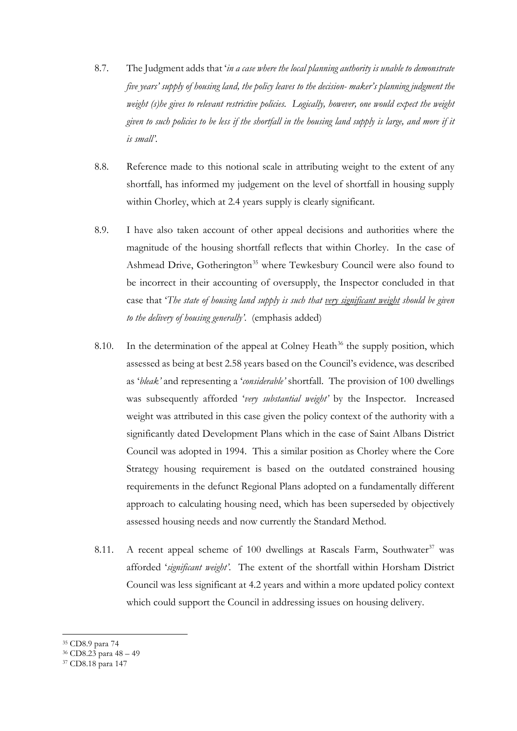- 8.7. The Judgment adds that '*in a case where the local planning authority is unable to demonstrate five years' supply of housing land, the policy leaves to the decision- maker's planning judgment the weight (s)he gives to relevant restrictive policies. Logically, however, one would expect the weight given to such policies to be less if the shortfall in the housing land supply is large, and more if it is small'*.
- 8.8. Reference made to this notional scale in attributing weight to the extent of any shortfall, has informed my judgement on the level of shortfall in housing supply within Chorley, which at 2.4 years supply is clearly significant.
- 8.9. I have also taken account of other appeal decisions and authorities where the magnitude of the housing shortfall reflects that within Chorley. In the case of Ashmead Drive, Gotherington<sup>[35](#page-30-0)</sup> where Tewkesbury Council were also found to be incorrect in their accounting of oversupply, the Inspector concluded in that case that '*The state of housing land supply is such that very significant weight should be given to the delivery of housing generally'*. (emphasis added)
- 8.10. In the determination of the appeal at Colney Heath<sup>[36](#page-30-1)</sup> the supply position, which assessed as being at best 2.58 years based on the Council's evidence, was described as '*bleak'* and representing a '*considerable'* shortfall. The provision of 100 dwellings was subsequently afforded '*very substantial weight'* by the Inspector. Increased weight was attributed in this case given the policy context of the authority with a significantly dated Development Plans which in the case of Saint Albans District Council was adopted in 1994. This a similar position as Chorley where the Core Strategy housing requirement is based on the outdated constrained housing requirements in the defunct Regional Plans adopted on a fundamentally different approach to calculating housing need, which has been superseded by objectively assessed housing needs and now currently the Standard Method.
- 8.11. A recent appeal scheme of 100 dwellings at Rascals Farm, Southwater<sup>[37](#page-30-2)</sup> was afforded '*significant weight'*. The extent of the shortfall within Horsham District Council was less significant at 4.2 years and within a more updated policy context which could support the Council in addressing issues on housing delivery.

<span id="page-30-0"></span><sup>35</sup> CD8.9 para 74

<span id="page-30-1"></span><sup>36</sup> CD8.23 para 48 – 49

<span id="page-30-2"></span><sup>37</sup> CD8.18 para 147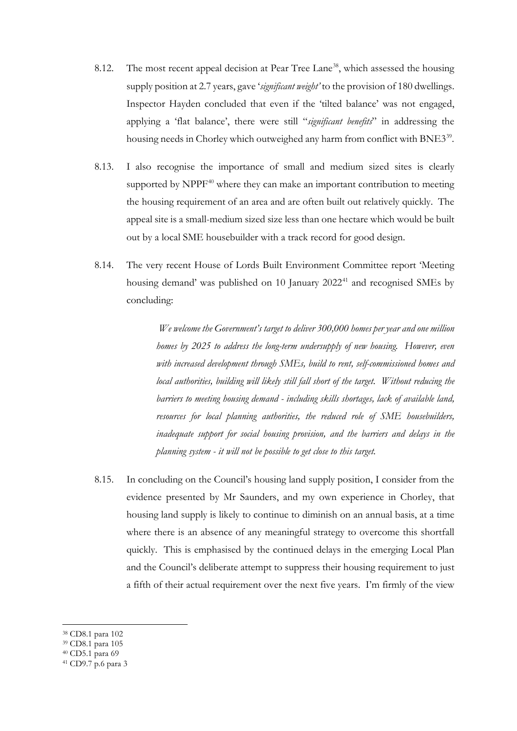- 8.12. The most recent appeal decision at Pear Tree Lane<sup>[38](#page-31-0)</sup>, which assessed the housing supply position at 2.7 years, gave '*significant weight'* to the provision of 180 dwellings. Inspector Hayden concluded that even if the 'tilted balance' was not engaged, applying a 'flat balance', there were still "*significant benefits*" in addressing the housing needs in Chorley which outweighed any harm from conflict with BNE3<sup>39</sup>.
- 8.13. I also recognise the importance of small and medium sized sites is clearly supported by  $NPPF<sup>40</sup>$  $NPPF<sup>40</sup>$  $NPPF<sup>40</sup>$  where they can make an important contribution to meeting the housing requirement of an area and are often built out relatively quickly. The appeal site is a small-medium sized size less than one hectare which would be built out by a local SME housebuilder with a track record for good design.
- 8.14. The very recent House of Lords Built Environment Committee report 'Meeting housing demand' was published on 10 January 2022<sup>[41](#page-31-3)</sup> and recognised SMEs by concluding:

*We welcome the Government's target to deliver 300,000 homes per year and one million homes by 2025 to address the long-term undersupply of new housing. However, even with increased development through SMEs, build to rent, self-commissioned homes and local authorities, building will likely still fall short of the target. Without reducing the barriers to meeting housing demand - including skills shortages, lack of available land, resources for local planning authorities, the reduced role of SME housebuilders, inadequate support for social housing provision, and the barriers and delays in the planning system - it will not be possible to get close to this target.*

8.15. In concluding on the Council's housing land supply position, I consider from the evidence presented by Mr Saunders, and my own experience in Chorley, that housing land supply is likely to continue to diminish on an annual basis, at a time where there is an absence of any meaningful strategy to overcome this shortfall quickly. This is emphasised by the continued delays in the emerging Local Plan and the Council's deliberate attempt to suppress their housing requirement to just a fifth of their actual requirement over the next five years. I'm firmly of the view

- <sup>39</sup> CD8.1 para 105
- <span id="page-31-2"></span><span id="page-31-1"></span><sup>40</sup> CD5.1 para 69

<span id="page-31-0"></span><sup>38</sup> CD8.1 para 102

<span id="page-31-3"></span><sup>41</sup> CD9.7 p.6 para 3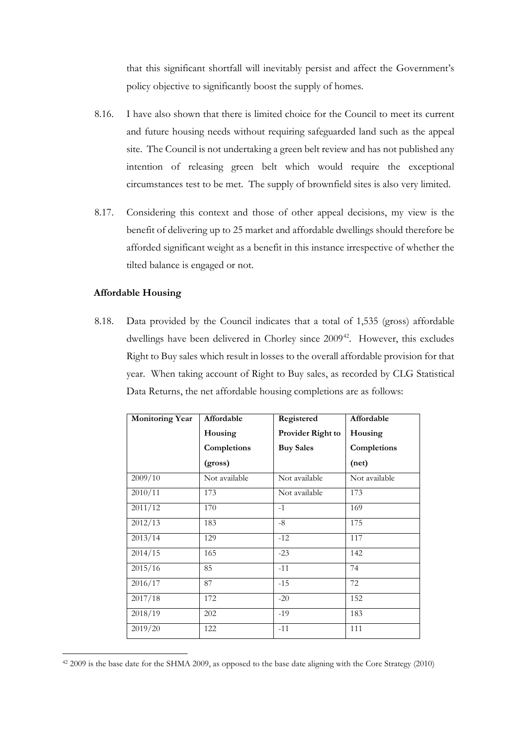that this significant shortfall will inevitably persist and affect the Government's policy objective to significantly boost the supply of homes.

- 8.16. I have also shown that there is limited choice for the Council to meet its current and future housing needs without requiring safeguarded land such as the appeal site. The Council is not undertaking a green belt review and has not published any intention of releasing green belt which would require the exceptional circumstances test to be met. The supply of brownfield sites is also very limited.
- 8.17. Considering this context and those of other appeal decisions, my view is the benefit of delivering up to 25 market and affordable dwellings should therefore be afforded significant weight as a benefit in this instance irrespective of whether the tilted balance is engaged or not.

## **Affordable Housing**

8.18. Data provided by the Council indicates that a total of 1,535 (gross) affordable dwellings have been delivered in Chorley since 2009<sup>[42](#page-32-0)</sup>. However, this excludes Right to Buy sales which result in losses to the overall affordable provision for that year. When taking account of Right to Buy sales, as recorded by CLG Statistical Data Returns, the net affordable housing completions are as follows:

| <b>Monitoring Year</b> | Affordable    | Registered        | Affordable    |
|------------------------|---------------|-------------------|---------------|
|                        | Housing       | Provider Right to | Housing       |
|                        | Completions   | <b>Buy Sales</b>  | Completions   |
|                        | (gross)       |                   | (net)         |
| 2009/10                | Not available | Not available     | Not available |
| 2010/11                | 173           | Not available     | 173           |
| 2011/12                | 170           | $-1$              | 169           |
| 2012/13                | 183           | $-8$              | 175           |
| 2013/14                | 129           | $-12$             | 117           |
| 2014/15                | 165           | $-23$             | 142           |
| 2015/16                | 85            | $-11$             | 74            |
| 2016/17                | 87            | $-15$             | 72            |
| 2017/18                | 172           | $-20$             | 152           |
| 2018/19                | 202           | $-19$             | 183           |
| 2019/20                | 122           | $-11$             | 111           |

<span id="page-32-0"></span><sup>42</sup> 2009 is the base date for the SHMA 2009, as opposed to the base date aligning with the Core Strategy (2010)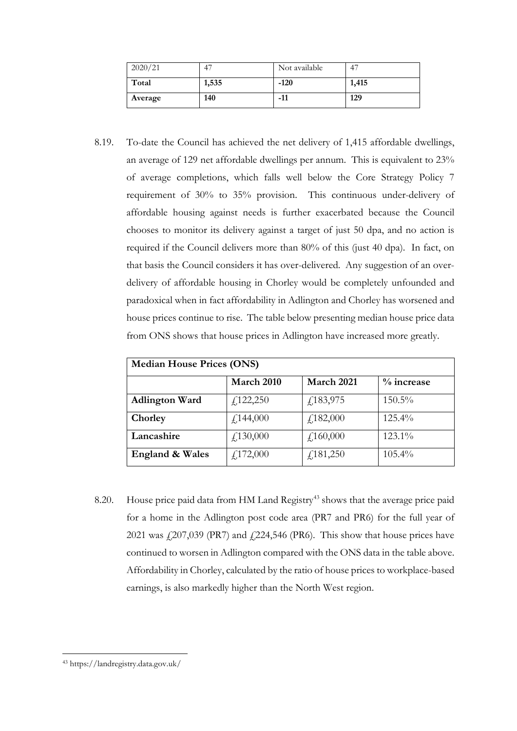| 2020/21 | 4     | Not available | -47   |
|---------|-------|---------------|-------|
| Total   | 1,535 | $-120$        | 1,415 |
| Average | 140   | $-11$         | 129   |

8.19. To-date the Council has achieved the net delivery of 1,415 affordable dwellings, an average of 129 net affordable dwellings per annum. This is equivalent to 23% of average completions, which falls well below the Core Strategy Policy 7 requirement of 30% to 35% provision. This continuous under-delivery of affordable housing against needs is further exacerbated because the Council chooses to monitor its delivery against a target of just 50 dpa, and no action is required if the Council delivers more than 80% of this (just 40 dpa). In fact, on that basis the Council considers it has over-delivered. Any suggestion of an overdelivery of affordable housing in Chorley would be completely unfounded and paradoxical when in fact affordability in Adlington and Chorley has worsened and house prices continue to rise. The table below presenting median house price data from ONS shows that house prices in Adlington have increased more greatly.

| <b>Median House Prices (ONS)</b> |                  |                               |               |  |  |  |  |  |  |
|----------------------------------|------------------|-------------------------------|---------------|--|--|--|--|--|--|
|                                  | March 2010       | March 2021                    | $\%$ increase |  |  |  |  |  |  |
| <b>Adlington Ward</b>            | f,122,250        | $\sqrt{183,975}$              | 150.5%        |  |  |  |  |  |  |
| Chorley                          | $\angle 144,000$ | f182,000                      | $125.4\%$     |  |  |  |  |  |  |
| Lancashire                       | $\angle 130,000$ | $\textit{\textbf{4}}.160,000$ | $123.1\%$     |  |  |  |  |  |  |
| <b>England &amp; Wales</b>       | $\angle 172,000$ | $\sqrt{181,250}$              | $105.4\%$     |  |  |  |  |  |  |

8.20. House price paid data from HM Land Registry<sup>[43](#page-33-0)</sup> shows that the average price paid for a home in the Adlington post code area (PR7 and PR6) for the full year of 2021 was  $\text{\emph{f}}207,039$  (PR7) and  $\text{\emph{f}}224,546$  (PR6). This show that house prices have continued to worsen in Adlington compared with the ONS data in the table above. Affordability in Chorley, calculated by the ratio of house prices to workplace-based earnings, is also markedly higher than the North West region.

<span id="page-33-0"></span><sup>43</sup> https://landregistry.data.gov.uk/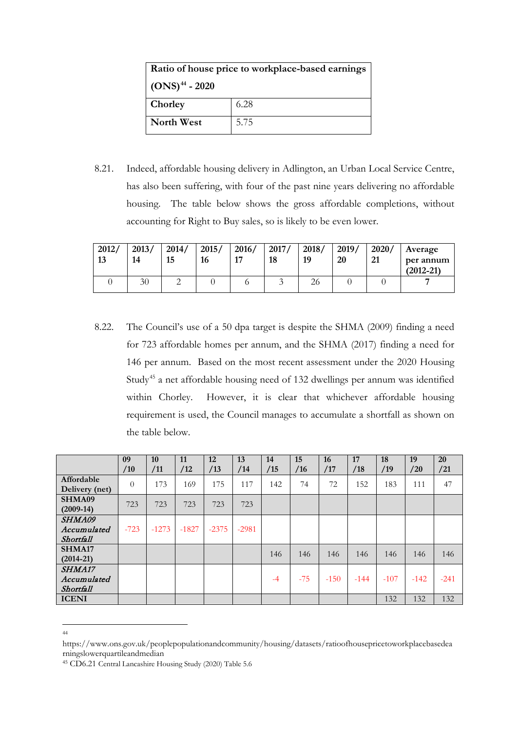| Ratio of house price to workplace-based earnings |      |  |  |  |  |  |
|--------------------------------------------------|------|--|--|--|--|--|
| $(ONS)^{44} - 2020$                              |      |  |  |  |  |  |
| Chorley                                          | 6.28 |  |  |  |  |  |
| North West                                       | 5.75 |  |  |  |  |  |

8.21. Indeed, affordable housing delivery in Adlington, an Urban Local Service Centre, has also been suffering, with four of the past nine years delivering no affordable housing. The table below shows the gross affordable completions, without accounting for Right to Buy sales, so is likely to be even lower.

| 2012/<br>13 | 2013/<br>14 | 2014/<br>15 | 2015/<br>16 | 2016/<br>17 | 2017/<br>18 | 2018/<br>19 | 2019/<br>20 | 2020/<br>21 | Average<br>per annum<br>$(2012 - 21)$ |
|-------------|-------------|-------------|-------------|-------------|-------------|-------------|-------------|-------------|---------------------------------------|
|             | 30          |             |             |             |             | 26          |             |             |                                       |

8.22. The Council's use of a 50 dpa target is despite the SHMA (2009) finding a need for 723 affordable homes per annum, and the SHMA (2017) finding a need for 146 per annum. Based on the most recent assessment under the 2020 Housing Study[45](#page-34-1) a net affordable housing need of 132 dwellings per annum was identified within Chorley. However, it is clear that whichever affordable housing requirement is used, the Council manages to accumulate a shortfall as shown on the table below.

|                                    | 09<br>/10 | 10<br>/11 | 11<br>/12 | 12<br>/13 | 13<br>/14 | 14<br>/15 | 15<br>/16 | <b>16</b><br>/17 | 17<br>/18 | 18<br>/19 | 19<br>/20 | 20<br>/21 |
|------------------------------------|-----------|-----------|-----------|-----------|-----------|-----------|-----------|------------------|-----------|-----------|-----------|-----------|
| Affordable<br>Delivery (net)       | $\Omega$  | 173       | 169       | 175       | 117       | 142       | 74        | 72               | 152       | 183       | 111       | 47        |
| SHMA09<br>$(2009-14)$              | 723       | 723       | 723       | 723       | 723       |           |           |                  |           |           |           |           |
| SHMA09<br>Accumulated<br>Shortfall | $-723$    | $-1273$   | $-1827$   | $-2375$   | $-2981$   |           |           |                  |           |           |           |           |
| SHMA17<br>$(2014-21)$              |           |           |           |           |           | 146       | 146       | 146              | 146       | 146       | 146       | 146       |
| SHMA17<br>Accumulated<br>Shortfall |           |           |           |           |           | $-4$      | $-75$     | $-150$           | $-144$    | $-107$    | $-142$    | $-241$    |
| <b>ICENI</b>                       |           |           |           |           |           |           |           |                  |           | 132       | 132       | 132       |

44

<span id="page-34-0"></span>https://www.ons.gov.uk/peoplepopulationandcommunity/housing/datasets/ratioofhousepricetoworkplacebasedea rningslowerquartileandmedian

<span id="page-34-1"></span><sup>45</sup> CD6.21 Central Lancashire Housing Study (2020) Table 5.6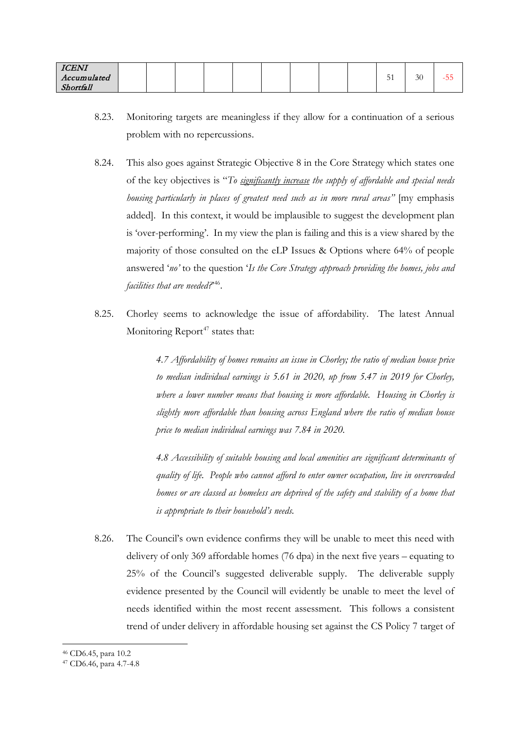| <b>ICENI</b> |  |  |  |  |                     |    |            |
|--------------|--|--|--|--|---------------------|----|------------|
| Accumulated  |  |  |  |  | $\sim$ $\sim$<br>ັ້ | 30 | --<br>- Ju |
| Shortfall    |  |  |  |  |                     |    |            |

- 8.23. Monitoring targets are meaningless if they allow for a continuation of a serious problem with no repercussions.
- 8.24. This also goes against Strategic Objective 8 in the Core Strategy which states one of the key objectives is "*To significantly increase the supply of affordable and special needs housing particularly in places of greatest need such as in more rural areas"* [my emphasis added]. In this context, it would be implausible to suggest the development plan is 'over-performing'. In my view the plan is failing and this is a view shared by the majority of those consulted on the eLP Issues & Options where 64% of people answered '*no'* to the question '*Is the Core Strategy approach providing the homes, jobs and facilities that are needed?*' [46.](#page-35-0)
- 8.25. Chorley seems to acknowledge the issue of affordability. The latest Annual Monitoring Report<sup>[47](#page-35-1)</sup> states that:

*4.7 Affordability of homes remains an issue in Chorley; the ratio of median house price to median individual earnings is 5.61 in 2020, up from 5.47 in 2019 for Chorley, where a lower number means that housing is more affordable. Housing in Chorley is slightly more affordable than housing across England where the ratio of median house price to median individual earnings was 7.84 in 2020.* 

*4.8 Accessibility of suitable housing and local amenities are significant determinants of quality of life. People who cannot afford to enter owner occupation, live in overcrowded homes or are classed as homeless are deprived of the safety and stability of a home that is appropriate to their household's needs.*

- 8.26. The Council's own evidence confirms they will be unable to meet this need with delivery of only 369 affordable homes (76 dpa) in the next five years – equating to 25% of the Council's suggested deliverable supply. The deliverable supply evidence presented by the Council will evidently be unable to meet the level of needs identified within the most recent assessment. This follows a consistent trend of under delivery in affordable housing set against the CS Policy 7 target of
- <sup>46</sup> CD6.45, para 10.2

<span id="page-35-1"></span><span id="page-35-0"></span><sup>47</sup> CD6.46, para 4.7-4.8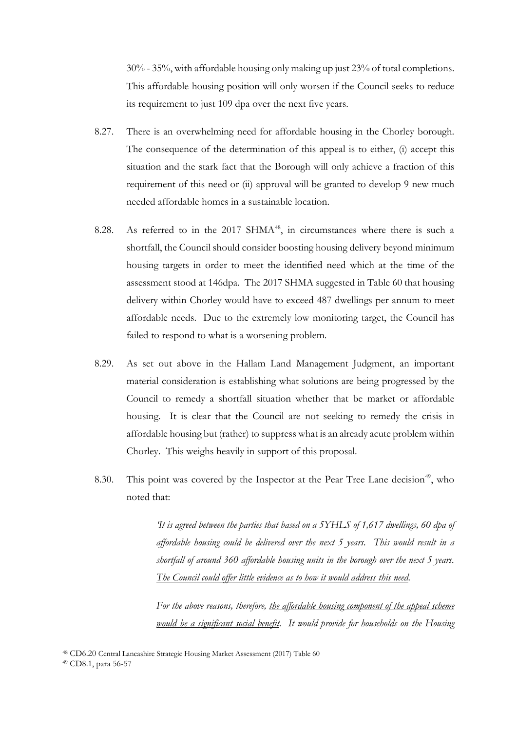30% - 35%, with affordable housing only making up just 23% of total completions. This affordable housing position will only worsen if the Council seeks to reduce its requirement to just 109 dpa over the next five years.

- 8.27. There is an overwhelming need for affordable housing in the Chorley borough. The consequence of the determination of this appeal is to either, (i) accept this situation and the stark fact that the Borough will only achieve a fraction of this requirement of this need or (ii) approval will be granted to develop 9 new much needed affordable homes in a sustainable location.
- 8.28. As referred to in the 2017 SHMA<sup>[48](#page-36-0)</sup>, in circumstances where there is such a shortfall, the Council should consider boosting housing delivery beyond minimum housing targets in order to meet the identified need which at the time of the assessment stood at 146dpa. The 2017 SHMA suggested in Table 60 that housing delivery within Chorley would have to exceed 487 dwellings per annum to meet affordable needs. Due to the extremely low monitoring target, the Council has failed to respond to what is a worsening problem.
- 8.29. As set out above in the Hallam Land Management Judgment, an important material consideration is establishing what solutions are being progressed by the Council to remedy a shortfall situation whether that be market or affordable housing. It is clear that the Council are not seeking to remedy the crisis in affordable housing but (rather) to suppress what is an already acute problem within Chorley. This weighs heavily in support of this proposal.
- 8.30. This point was covered by the Inspector at the Pear Tree Lane decision<sup>[49](#page-36-1)</sup>, who noted that:

*'It is agreed between the parties that based on a 5YHLS of 1,617 dwellings, 60 dpa of affordable housing could be delivered over the next 5 years. This would result in a shortfall of around 360 affordable housing units in the borough over the next 5 years. The Council could offer little evidence as to how it would address this need.* 

*For the above reasons, therefore, the affordable housing component of the appeal scheme would be a significant social benefit. It would provide for households on the Housing* 

<sup>48</sup> CD6.20 Central Lancashire Strategic Housing Market Assessment (2017) Table 60

<span id="page-36-1"></span><span id="page-36-0"></span><sup>49</sup> CD8.1, para 56-57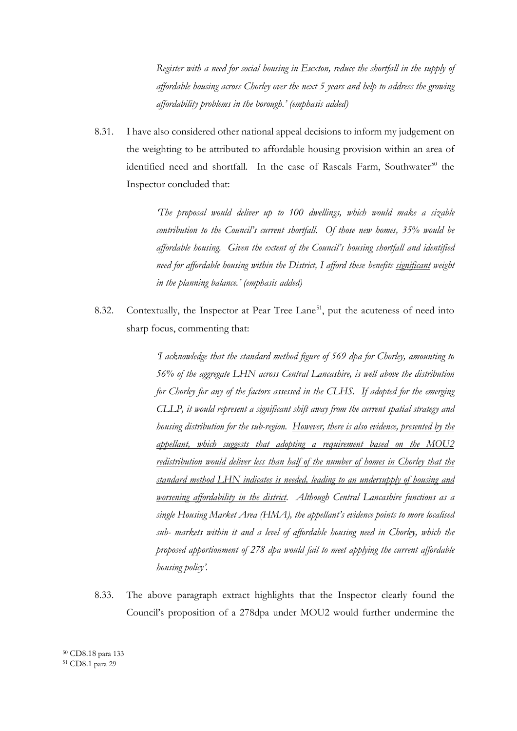*Register with a need for social housing in Euxton, reduce the shortfall in the supply of affordable housing across Chorley over the next 5 years and help to address the growing affordability problems in the borough.' (emphasis added)*

8.31. I have also considered other national appeal decisions to inform my judgement on the weighting to be attributed to affordable housing provision within an area of identified need and shortfall. In the case of Rascals Farm, Southwater<sup>[50](#page-37-0)</sup> the Inspector concluded that:

> *'The proposal would deliver up to 100 dwellings, which would make a sizable contribution to the Council's current shortfall. Of those new homes, 35% would be affordable housing. Given the extent of the Council's housing shortfall and identified need for affordable housing within the District, I afford these benefits significant weight in the planning balance.' (emphasis added)*

8.32. Contextually, the Inspector at Pear Tree Lane<sup>51</sup>, put the acuteness of need into sharp focus, commenting that:

> *'I acknowledge that the standard method figure of 569 dpa for Chorley, amounting to 56% of the aggregate LHN across Central Lancashire, is well above the distribution for Chorley for any of the factors assessed in the CLHS. If adopted for the emerging CLLP, it would represent a significant shift away from the current spatial strategy and housing distribution for the sub-region. However, there is also evidence, presented by the appellant, which suggests that adopting a requirement based on the MOU2 redistribution would deliver less than half of the number of homes in Chorley that the standard method LHN indicates is needed, leading to an undersupply of housing and worsening affordability in the district. Although Central Lancashire functions as a single Housing Market Area (HMA), the appellant's evidence points to more localised sub- markets within it and a level of affordable housing need in Chorley, which the proposed apportionment of 278 dpa would fail to meet applying the current affordable housing policy'.*

8.33. The above paragraph extract highlights that the Inspector clearly found the Council's proposition of a 278dpa under MOU2 would further undermine the

<sup>50</sup> CD8.18 para 133

<span id="page-37-1"></span><span id="page-37-0"></span><sup>51</sup> CD8.1 para 29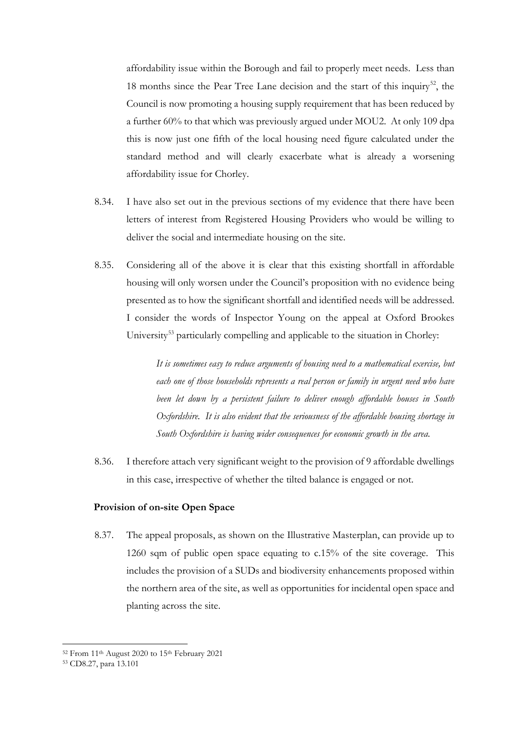affordability issue within the Borough and fail to properly meet needs. Less than 18 months since the Pear Tree Lane decision and the start of this inquiry<sup>[52](#page-38-0)</sup>, the Council is now promoting a housing supply requirement that has been reduced by a further 60% to that which was previously argued under MOU2. At only 109 dpa this is now just one fifth of the local housing need figure calculated under the standard method and will clearly exacerbate what is already a worsening affordability issue for Chorley.

- 8.34. I have also set out in the previous sections of my evidence that there have been letters of interest from Registered Housing Providers who would be willing to deliver the social and intermediate housing on the site.
- 8.35. Considering all of the above it is clear that this existing shortfall in affordable housing will only worsen under the Council's proposition with no evidence being presented as to how the significant shortfall and identified needs will be addressed. I consider the words of Inspector Young on the appeal at Oxford Brookes University<sup>[53](#page-38-1)</sup> particularly compelling and applicable to the situation in Chorley:

*It is sometimes easy to reduce arguments of housing need to a mathematical exercise, but*  each one of those households represents a real person or family in urgent need who have *been let down by a persistent failure to deliver enough affordable houses in South Oxfordshire. It is also evident that the seriousness of the affordable housing shortage in South Oxfordshire is having wider consequences for economic growth in the area.*

8.36. I therefore attach very significant weight to the provision of 9 affordable dwellings in this case, irrespective of whether the tilted balance is engaged or not.

#### **Provision of on-site Open Space**

8.37. The appeal proposals, as shown on the Illustrative Masterplan, can provide up to 1260 sqm of public open space equating to c.15% of the site coverage. This includes the provision of a SUDs and biodiversity enhancements proposed within the northern area of the site, as well as opportunities for incidental open space and planting across the site.

<sup>52</sup> From 11th August 2020 to 15th February 2021

<span id="page-38-1"></span><span id="page-38-0"></span><sup>53</sup> CD8.27, para 13.101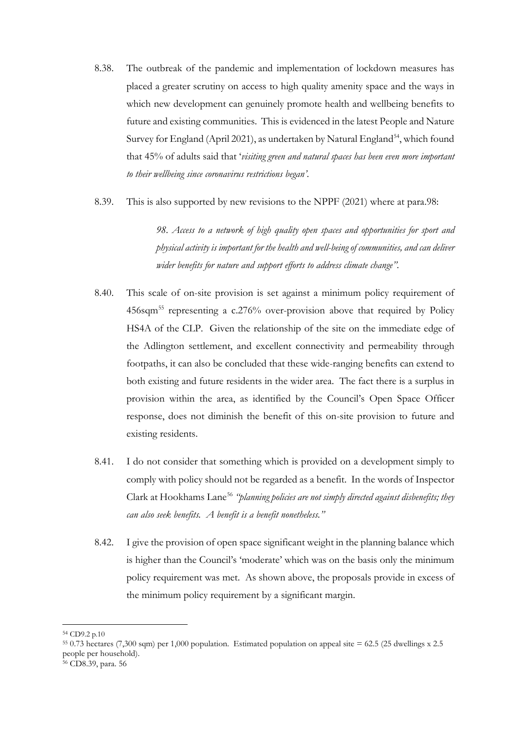- 8.38. The outbreak of the pandemic and implementation of lockdown measures has placed a greater scrutiny on access to high quality amenity space and the ways in which new development can genuinely promote health and wellbeing benefits to future and existing communities. This is evidenced in the latest People and Nature Survey for England (April 2021), as undertaken by Natural England<sup>[54](#page-39-0)</sup>, which found that 45% of adults said that '*visiting green and natural spaces has been even more important to their wellbeing since coronavirus restrictions began'*.
- 8.39. This is also supported by new revisions to the NPPF (2021) where at para.98:

*98. Access to a network of high quality open spaces and opportunities for sport and physical activity is important for the health and well-being of communities, and can deliver wider benefits for nature and support efforts to address climate change".*

- 8.40. This scale of on-site provision is set against a minimum policy requirement of 456sqm[55](#page-39-1) representing a c.276% over-provision above that required by Policy HS4A of the CLP. Given the relationship of the site on the immediate edge of the Adlington settlement, and excellent connectivity and permeability through footpaths, it can also be concluded that these wide-ranging benefits can extend to both existing and future residents in the wider area. The fact there is a surplus in provision within the area, as identified by the Council's Open Space Officer response, does not diminish the benefit of this on-site provision to future and existing residents.
- 8.41. I do not consider that something which is provided on a development simply to comply with policy should not be regarded as a benefit. In the words of Inspector Clark at Hookhams Lane<sup>[56](#page-39-2)</sup> *"planning policies are not simply directed against disbenefits; they can also seek benefits. A benefit is a benefit nonetheless."*
- 8.42. I give the provision of open space significant weight in the planning balance which is higher than the Council's 'moderate' which was on the basis only the minimum policy requirement was met. As shown above, the proposals provide in excess of the minimum policy requirement by a significant margin.

<span id="page-39-0"></span><sup>54</sup> CD9.2 p.10

<span id="page-39-1"></span> $55$  0.73 hectares (7,300 sqm) per 1,000 population. Estimated population on appeal site = 62.5 (25 dwellings x 2.5 people per household).

<span id="page-39-2"></span><sup>56</sup> CD8.39, para. 56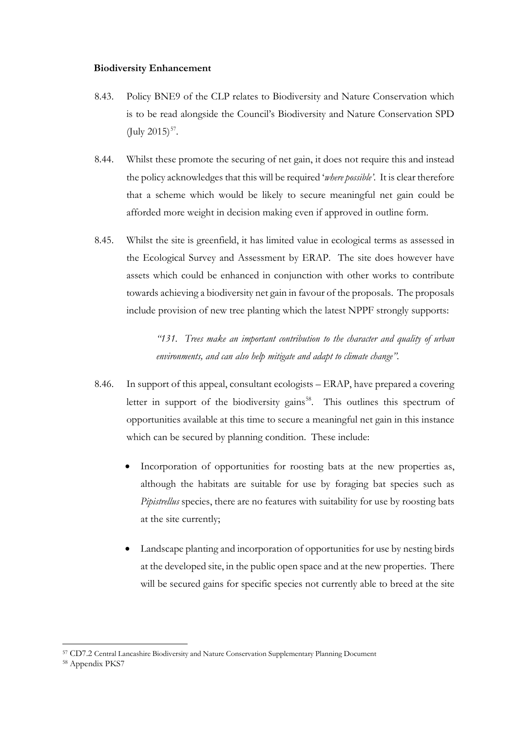#### **Biodiversity Enhancement**

- 8.43. Policy BNE9 of the CLP relates to Biodiversity and Nature Conservation which is to be read alongside the Council's Biodiversity and Nature Conservation SPD  $(Iulv 2015)^{57}$ .
- 8.44. Whilst these promote the securing of net gain, it does not require this and instead the policy acknowledges that this will be required '*where possible'*. It is clear therefore that a scheme which would be likely to secure meaningful net gain could be afforded more weight in decision making even if approved in outline form.
- 8.45. Whilst the site is greenfield, it has limited value in ecological terms as assessed in the Ecological Survey and Assessment by ERAP. The site does however have assets which could be enhanced in conjunction with other works to contribute towards achieving a biodiversity net gain in favour of the proposals. The proposals include provision of new tree planting which the latest NPPF strongly supports:

*"131. Trees make an important contribution to the character and quality of urban environments, and can also help mitigate and adapt to climate change".*

- 8.46. In support of this appeal, consultant ecologists ERAP, have prepared a covering letter in support of the biodiversity gains<sup>58</sup>. This outlines this spectrum of opportunities available at this time to secure a meaningful net gain in this instance which can be secured by planning condition. These include:
	- Incorporation of opportunities for roosting bats at the new properties as, although the habitats are suitable for use by foraging bat species such as *Pipistrellus* species, there are no features with suitability for use by roosting bats at the site currently;
	- Landscape planting and incorporation of opportunities for use by nesting birds at the developed site, in the public open space and at the new properties. There will be secured gains for specific species not currently able to breed at the site

<span id="page-40-0"></span><sup>57</sup> CD7.2 Central Lancashire Biodiversity and Nature Conservation Supplementary Planning Document

<span id="page-40-1"></span><sup>58</sup> Appendix PKS7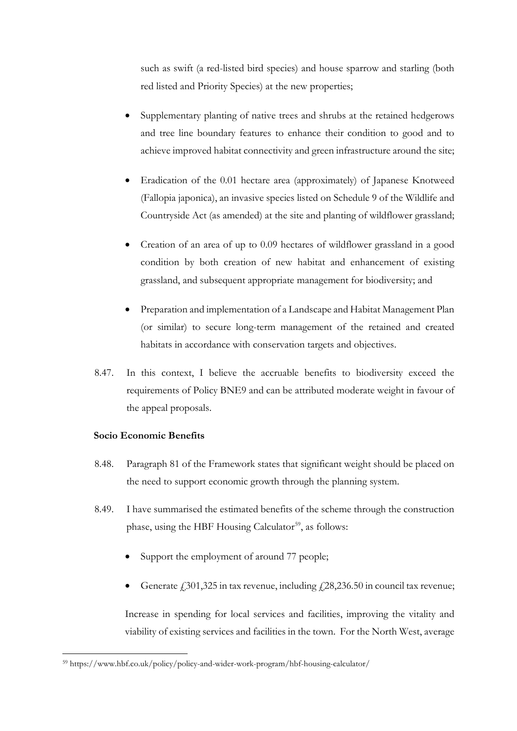such as swift (a red-listed bird species) and house sparrow and starling (both red listed and Priority Species) at the new properties;

- Supplementary planting of native trees and shrubs at the retained hedgerows and tree line boundary features to enhance their condition to good and to achieve improved habitat connectivity and green infrastructure around the site;
- Eradication of the 0.01 hectare area (approximately) of Japanese Knotweed (Fallopia japonica), an invasive species listed on Schedule 9 of the Wildlife and Countryside Act (as amended) at the site and planting of wildflower grassland;
- Creation of an area of up to 0.09 hectares of wildflower grassland in a good condition by both creation of new habitat and enhancement of existing grassland, and subsequent appropriate management for biodiversity; and
- Preparation and implementation of a Landscape and Habitat Management Plan (or similar) to secure long-term management of the retained and created habitats in accordance with conservation targets and objectives.
- 8.47. In this context, I believe the accruable benefits to biodiversity exceed the requirements of Policy BNE9 and can be attributed moderate weight in favour of the appeal proposals.

## **Socio Economic Benefits**

- 8.48. Paragraph 81 of the Framework states that significant weight should be placed on the need to support economic growth through the planning system.
- 8.49. I have summarised the estimated benefits of the scheme through the construction phase, using the HBF Housing Calculator<sup>[59](#page-41-0)</sup>, as follows:
	- Support the employment of around 77 people;
	- Generate  $\dot{f}$  301,325 in tax revenue, including  $\dot{f}$  28,236.50 in council tax revenue;

Increase in spending for local services and facilities, improving the vitality and viability of existing services and facilities in the town. For the North West, average

<span id="page-41-0"></span><sup>59</sup> https://www.hbf.co.uk/policy/policy-and-wider-work-program/hbf-housing-calculator/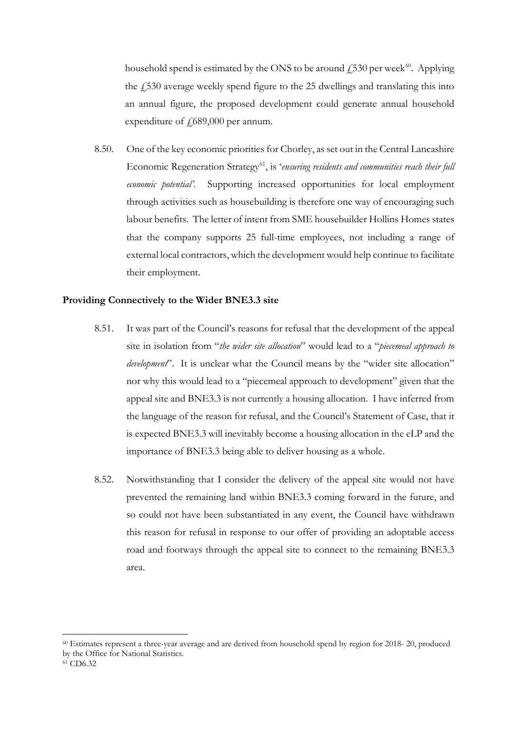household spend is estimated by the ONS to be around  $\overline{4530}$  per week<sup>60</sup>. Applying the  $\angle$  530 average weekly spend figure to the 25 dwellings and translating this into an annual figure, the proposed development could generate annual household expenditure of  $f(689,000$  per annum.

8.50. One of the key economic priorities for Chorley, as set out in the Central Lancashire Economic Regeneration Strategy<sup>61</sup>, is 'ensuring residents and communities reach their full *economic potential'*. Supporting increased opportunities for local employment through activities such as housebuilding is therefore one way of encouraging such labour benefits. The letter of intent from SME housebuilder Hollins Homes states that the company supports 25 full-time employees, not including a range of external local contractors, which the development would help continue to facilitate their employment.

#### **Providing Connectively to the Wider BNE3.3 site**

- 8.51. It was part of the Council's reasons for refusal that the development of the appeal site in isolation from "*the wider site allocation*" would lead to a "*piecemeal approach to development*". It is unclear what the Council means by the "wider site allocation" nor why this would lead to a "piecemeal approach to development" given that the appeal site and BNE3.3 is not currently a housing allocation. I have inferred from the language of the reason for refusal, and the Council's Statement of Case, that it is expected BNE3.3 will inevitably become a housing allocation in the eLP and the importance of BNE3.3 being able to deliver housing as a whole.
- 8.52. Notwithstanding that I consider the delivery of the appeal site would not have prevented the remaining land within BNE3.3 coming forward in the future, and so could not have been substantiated in any event, the Council have withdrawn this reason for refusal in response to our offer of providing an adoptable access road and footways through the appeal site to connect to the remaining BNE3.3 area.

<span id="page-42-1"></span><span id="page-42-0"></span><sup>60</sup> Estimates represent a three-year average and are derived from household spend by region for 2018- 20, produced by the Office for National Statistics.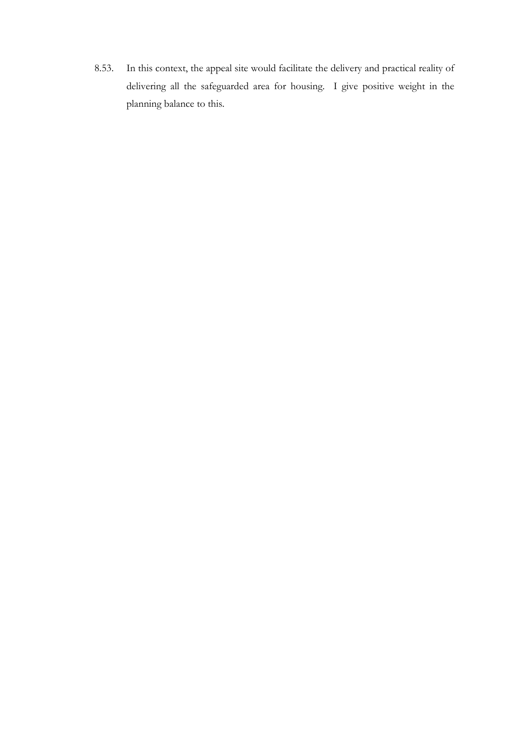8.53. In this context, the appeal site would facilitate the delivery and practical reality of delivering all the safeguarded area for housing. I give positive weight in the planning balance to this.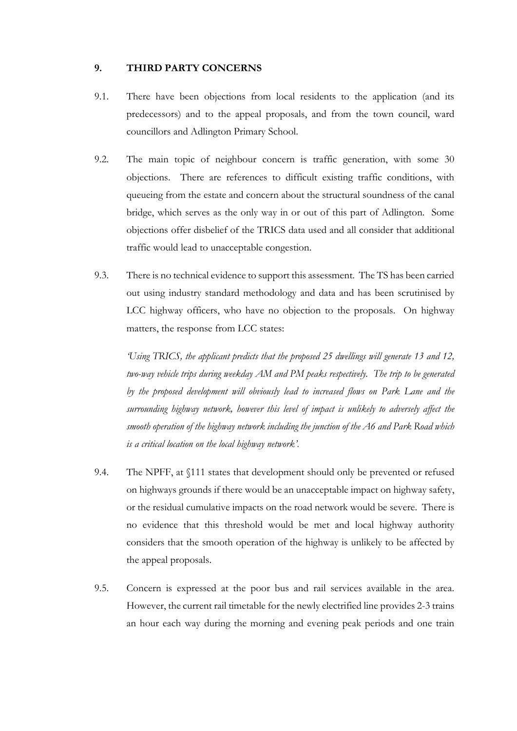#### **9. THIRD PARTY CONCERNS**

- 9.1. There have been objections from local residents to the application (and its predecessors) and to the appeal proposals, and from the town council, ward councillors and Adlington Primary School.
- 9.2. The main topic of neighbour concern is traffic generation, with some 30 objections. There are references to difficult existing traffic conditions, with queueing from the estate and concern about the structural soundness of the canal bridge, which serves as the only way in or out of this part of Adlington. Some objections offer disbelief of the TRICS data used and all consider that additional traffic would lead to unacceptable congestion.
- 9.3. There is no technical evidence to support this assessment. The TS has been carried out using industry standard methodology and data and has been scrutinised by LCC highway officers, who have no objection to the proposals. On highway matters, the response from LCC states:

*'Using TRICS, the applicant predicts that the proposed 25 dwellings will generate 13 and 12, two-way vehicle trips during weekday AM and PM peaks respectively. The trip to be generated by the proposed development will obviously lead to increased flows on Park Lane and the surrounding highway network, however this level of impact is unlikely to adversely affect the smooth operation of the highway network including the junction of the A6 and Park Road which is a critical location on the local highway network'*.

- 9.4. The NPFF, at §111 states that development should only be prevented or refused on highways grounds if there would be an unacceptable impact on highway safety, or the residual cumulative impacts on the road network would be severe. There is no evidence that this threshold would be met and local highway authority considers that the smooth operation of the highway is unlikely to be affected by the appeal proposals.
- 9.5. Concern is expressed at the poor bus and rail services available in the area. However, the current rail timetable for the newly electrified line provides 2-3 trains an hour each way during the morning and evening peak periods and one train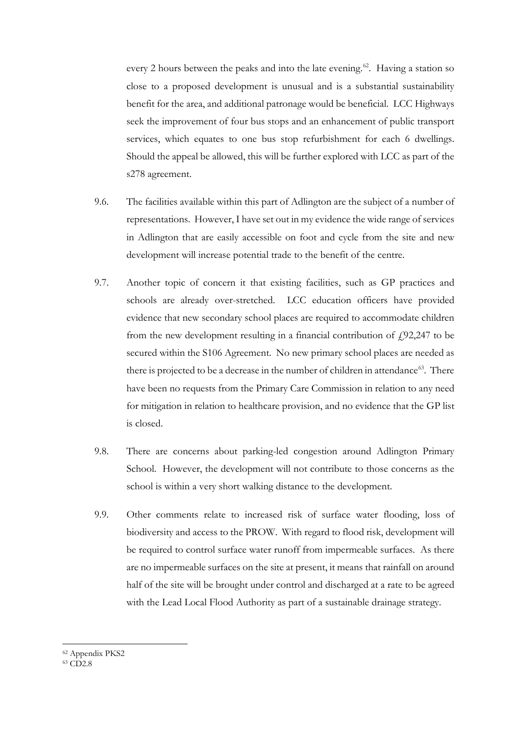every 2 hours between the peaks and into the late evening.<sup>62</sup>. Having a station so close to a proposed development is unusual and is a substantial sustainability benefit for the area, and additional patronage would be beneficial. LCC Highways seek the improvement of four bus stops and an enhancement of public transport services, which equates to one bus stop refurbishment for each 6 dwellings. Should the appeal be allowed, this will be further explored with LCC as part of the s278 agreement.

- 9.6. The facilities available within this part of Adlington are the subject of a number of representations. However, I have set out in my evidence the wide range of services in Adlington that are easily accessible on foot and cycle from the site and new development will increase potential trade to the benefit of the centre.
- 9.7. Another topic of concern it that existing facilities, such as GP practices and schools are already over-stretched. LCC education officers have provided evidence that new secondary school places are required to accommodate children from the new development resulting in a financial contribution of  $f(92,247)$  to be secured within the S106 Agreement. No new primary school places are needed as there is projected to be a decrease in the number of children in attendance<sup>[63](#page-45-1)</sup>. There have been no requests from the Primary Care Commission in relation to any need for mitigation in relation to healthcare provision, and no evidence that the GP list is closed.
- 9.8. There are concerns about parking-led congestion around Adlington Primary School. However, the development will not contribute to those concerns as the school is within a very short walking distance to the development.
- 9.9. Other comments relate to increased risk of surface water flooding, loss of biodiversity and access to the PROW. With regard to flood risk, development will be required to control surface water runoff from impermeable surfaces. As there are no impermeable surfaces on the site at present, it means that rainfall on around half of the site will be brought under control and discharged at a rate to be agreed with the Lead Local Flood Authority as part of a sustainable drainage strategy.

<span id="page-45-1"></span><span id="page-45-0"></span><sup>62</sup> Appendix PKS2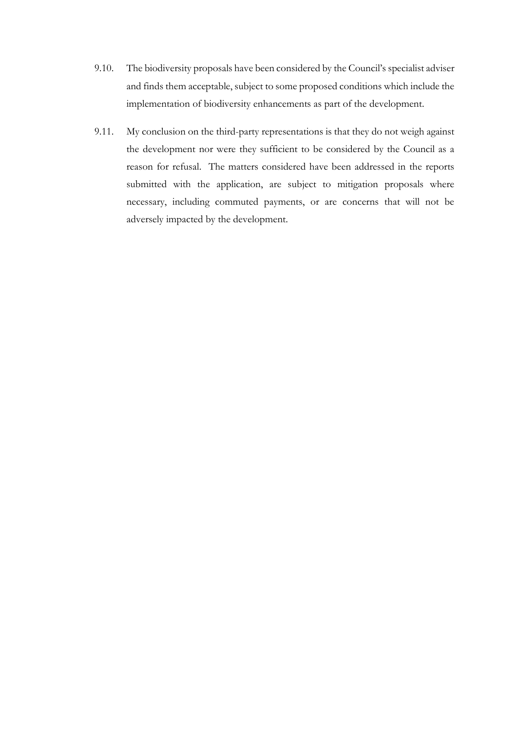- 9.10. The biodiversity proposals have been considered by the Council's specialist adviser and finds them acceptable, subject to some proposed conditions which include the implementation of biodiversity enhancements as part of the development.
- 9.11. My conclusion on the third-party representations is that they do not weigh against the development nor were they sufficient to be considered by the Council as a reason for refusal. The matters considered have been addressed in the reports submitted with the application, are subject to mitigation proposals where necessary, including commuted payments, or are concerns that will not be adversely impacted by the development.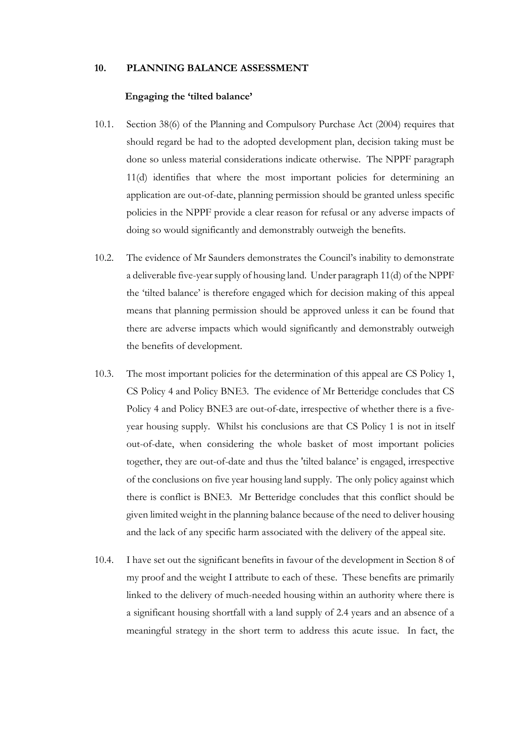#### **10. PLANNING BALANCE ASSESSMENT**

#### **Engaging the 'tilted balance'**

- 10.1. Section 38(6) of the Planning and Compulsory Purchase Act (2004) requires that should regard be had to the adopted development plan, decision taking must be done so unless material considerations indicate otherwise. The NPPF paragraph 11(d) identifies that where the most important policies for determining an application are out-of-date, planning permission should be granted unless specific policies in the NPPF provide a clear reason for refusal or any adverse impacts of doing so would significantly and demonstrably outweigh the benefits.
- 10.2. The evidence of Mr Saunders demonstrates the Council's inability to demonstrate a deliverable five-year supply of housing land. Under paragraph 11(d) of the NPPF the 'tilted balance' is therefore engaged which for decision making of this appeal means that planning permission should be approved unless it can be found that there are adverse impacts which would significantly and demonstrably outweigh the benefits of development.
- 10.3. The most important policies for the determination of this appeal are CS Policy 1, CS Policy 4 and Policy BNE3. The evidence of Mr Betteridge concludes that CS Policy 4 and Policy BNE3 are out-of-date, irrespective of whether there is a fiveyear housing supply. Whilst his conclusions are that CS Policy 1 is not in itself out-of-date, when considering the whole basket of most important policies together, they are out-of-date and thus the 'tilted balance' is engaged, irrespective of the conclusions on five year housing land supply. The only policy against which there is conflict is BNE3. Mr Betteridge concludes that this conflict should be given limited weight in the planning balance because of the need to deliver housing and the lack of any specific harm associated with the delivery of the appeal site.
- 10.4. I have set out the significant benefits in favour of the development in Section 8 of my proof and the weight I attribute to each of these. These benefits are primarily linked to the delivery of much-needed housing within an authority where there is a significant housing shortfall with a land supply of 2.4 years and an absence of a meaningful strategy in the short term to address this acute issue. In fact, the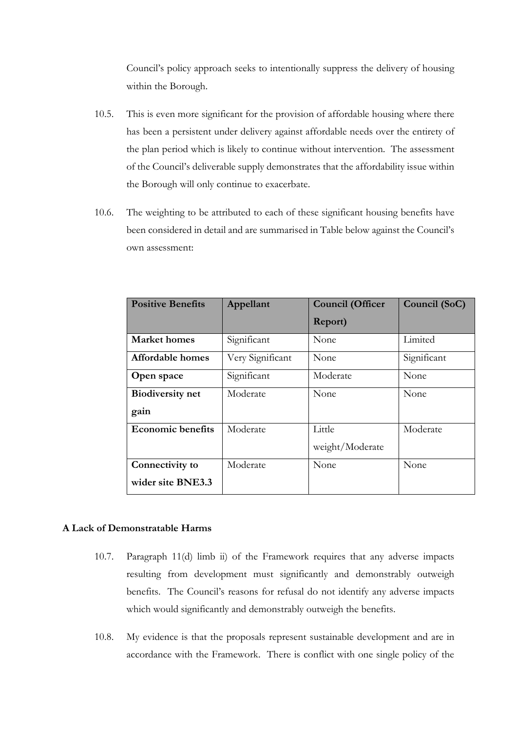Council's policy approach seeks to intentionally suppress the delivery of housing within the Borough.

- 10.5. This is even more significant for the provision of affordable housing where there has been a persistent under delivery against affordable needs over the entirety of the plan period which is likely to continue without intervention. The assessment of the Council's deliverable supply demonstrates that the affordability issue within the Borough will only continue to exacerbate.
- 10.6. The weighting to be attributed to each of these significant housing benefits have been considered in detail and are summarised in Table below against the Council's own assessment:

| <b>Positive Benefits</b> | Appellant        | <b>Council (Officer</b> | Council (SoC) |  |
|--------------------------|------------------|-------------------------|---------------|--|
|                          |                  | Report)                 |               |  |
| <b>Market</b> homes      | Significant      | None                    | Limited       |  |
| Affordable homes         | Very Significant | None                    | Significant   |  |
| Open space               | Significant      | Moderate                | None          |  |
| <b>Biodiversity net</b>  | Moderate         | None                    | None          |  |
| gain                     |                  |                         |               |  |
| <b>Economic benefits</b> | Moderate         | Little                  | Moderate      |  |
|                          |                  | weight/Moderate         |               |  |
| Connectivity to          | Moderate         | None                    | None          |  |
| wider site BNE3.3        |                  |                         |               |  |

### **A Lack of Demonstratable Harms**

- 10.7. Paragraph 11(d) limb ii) of the Framework requires that any adverse impacts resulting from development must significantly and demonstrably outweigh benefits. The Council's reasons for refusal do not identify any adverse impacts which would significantly and demonstrably outweigh the benefits.
- 10.8. My evidence is that the proposals represent sustainable development and are in accordance with the Framework. There is conflict with one single policy of the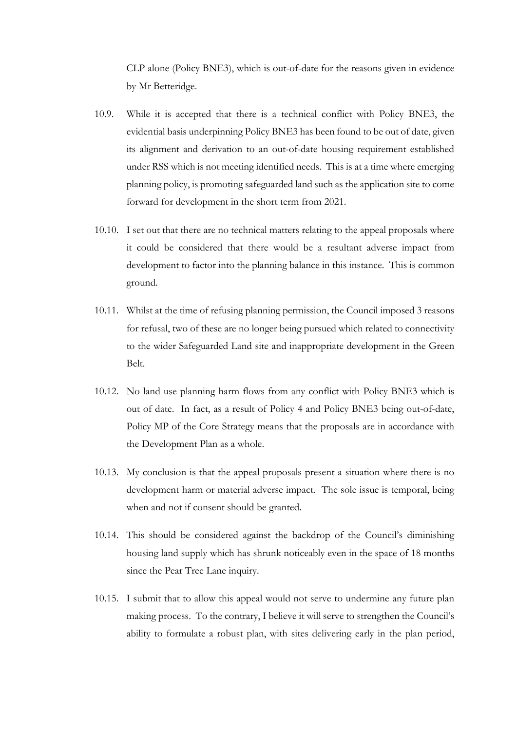CLP alone (Policy BNE3), which is out-of-date for the reasons given in evidence by Mr Betteridge.

- 10.9. While it is accepted that there is a technical conflict with Policy BNE3, the evidential basis underpinning Policy BNE3 has been found to be out of date, given its alignment and derivation to an out-of-date housing requirement established under RSS which is not meeting identified needs. This is at a time where emerging planning policy, is promoting safeguarded land such as the application site to come forward for development in the short term from 2021.
- 10.10. I set out that there are no technical matters relating to the appeal proposals where it could be considered that there would be a resultant adverse impact from development to factor into the planning balance in this instance. This is common ground.
- 10.11. Whilst at the time of refusing planning permission, the Council imposed 3 reasons for refusal, two of these are no longer being pursued which related to connectivity to the wider Safeguarded Land site and inappropriate development in the Green Belt.
- 10.12. No land use planning harm flows from any conflict with Policy BNE3 which is out of date. In fact, as a result of Policy 4 and Policy BNE3 being out-of-date, Policy MP of the Core Strategy means that the proposals are in accordance with the Development Plan as a whole.
- 10.13. My conclusion is that the appeal proposals present a situation where there is no development harm or material adverse impact. The sole issue is temporal, being when and not if consent should be granted.
- 10.14. This should be considered against the backdrop of the Council's diminishing housing land supply which has shrunk noticeably even in the space of 18 months since the Pear Tree Lane inquiry.
- 10.15. I submit that to allow this appeal would not serve to undermine any future plan making process. To the contrary, I believe it will serve to strengthen the Council's ability to formulate a robust plan, with sites delivering early in the plan period,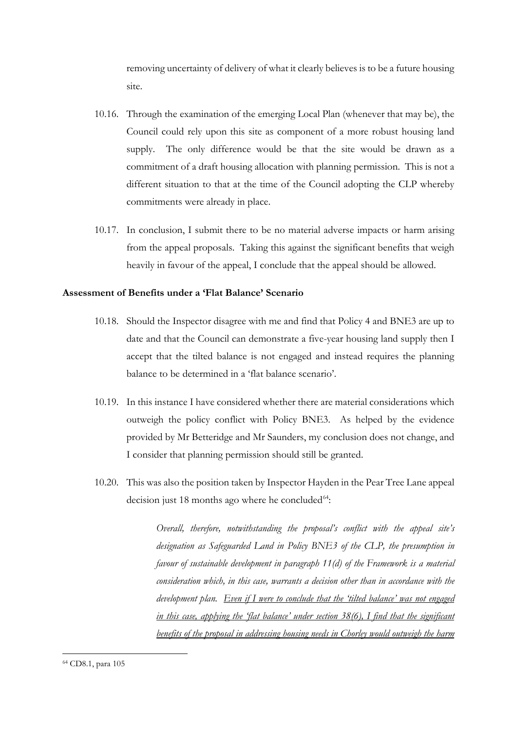removing uncertainty of delivery of what it clearly believes is to be a future housing site.

- 10.16. Through the examination of the emerging Local Plan (whenever that may be), the Council could rely upon this site as component of a more robust housing land supply. The only difference would be that the site would be drawn as a commitment of a draft housing allocation with planning permission. This is not a different situation to that at the time of the Council adopting the CLP whereby commitments were already in place.
- 10.17. In conclusion, I submit there to be no material adverse impacts or harm arising from the appeal proposals. Taking this against the significant benefits that weigh heavily in favour of the appeal, I conclude that the appeal should be allowed.

#### **Assessment of Benefits under a 'Flat Balance' Scenario**

- 10.18. Should the Inspector disagree with me and find that Policy 4 and BNE3 are up to date and that the Council can demonstrate a five-year housing land supply then I accept that the tilted balance is not engaged and instead requires the planning balance to be determined in a 'flat balance scenario'.
- 10.19. In this instance I have considered whether there are material considerations which outweigh the policy conflict with Policy BNE3. As helped by the evidence provided by Mr Betteridge and Mr Saunders, my conclusion does not change, and I consider that planning permission should still be granted.
- <span id="page-50-0"></span>10.20. This was also the position taken by Inspector Hayden in the Pear Tree Lane appeal decision just 18 months ago where he concluded $64$ :

*Overall, therefore, notwithstanding the proposal's conflict with the appeal site's designation as Safeguarded Land in Policy BNE3 of the CLP, the presumption in favour of sustainable development in paragraph 11(d) of the Framework is a material consideration which, in this case, warrants a decision other than in accordance with the development plan. Even if I were to conclude that the 'tilted balance' was not engaged in this case, applying the 'flat balance' under section 38(6), I find that the significant benefits of the proposal in addressing housing needs in Chorley would outweigh the harm*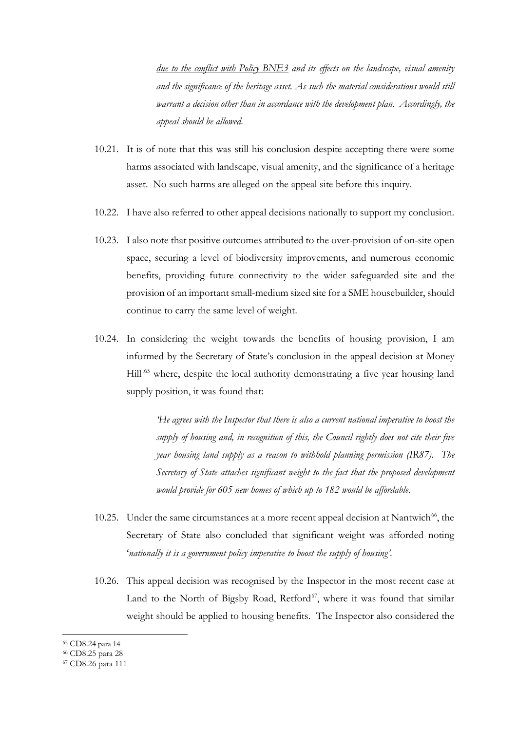*due to the conflict with Policy BNE3 and its effects on the landscape, visual amenity and the significance of the heritage asset. As such the material considerations would still warrant a decision other than in accordance with the development plan. Accordingly, the appeal should be allowed.*

- 10.21. It is of note that this was still his conclusion despite accepting there were some harms associated with landscape, visual amenity, and the significance of a heritage asset. No such harms are alleged on the appeal site before this inquiry.
- 10.22. I have also referred to other appeal decisions nationally to support my conclusion.
- 10.23. I also note that positive outcomes attributed to the over-provision of on-site open space, securing a level of biodiversity improvements, and numerous economic benefits, providing future connectivity to the wider safeguarded site and the provision of an important small-medium sized site for a SME housebuilder, should continue to carry the same level of weight.
- 10.24. In considering the weight towards the benefits of housing provision, I am informed by the Secretary of State's conclusion in the appeal decision at Money Hill<sup>45</sup> where, despite the local authority demonstrating a five year housing land supply position, it was found that:

*'He agrees with the Inspector that there is also a current national imperative to boost the supply of housing and, in recognition of this, the Council rightly does not cite their five year housing land supply as a reason to withhold planning permission (IR87). The Secretary of State attaches significant weight to the fact that the proposed development would provide for 605 new homes of which up to 182 would be affordable*.

- 10.25. Under the same circumstances at a more recent appeal decision at Nantwich<sup>[66](#page-51-1)</sup>, the Secretary of State also concluded that significant weight was afforded noting '*nationally it is a government policy imperative to boost the supply of housing'*.
- 10.26. This appeal decision was recognised by the Inspector in the most recent case at Land to the North of Bigsby Road, Retford $67$ , where it was found that similar weight should be applied to housing benefits. The Inspector also considered the

<sup>65</sup> CD8.24 para 14

<span id="page-51-1"></span><span id="page-51-0"></span><sup>66</sup> CD8.25 para 28

<span id="page-51-2"></span><sup>67</sup> CD8.26 para 111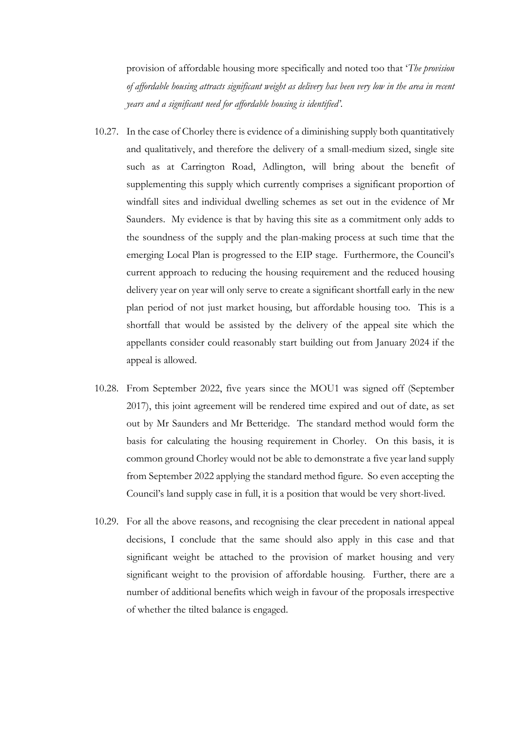provision of affordable housing more specifically and noted too that '*The provision of affordable housing attracts significant weight as delivery has been very low in the area in recent years and a significant need for affordable housing is identified'*.

- 10.27. In the case of Chorley there is evidence of a diminishing supply both quantitatively and qualitatively, and therefore the delivery of a small-medium sized, single site such as at Carrington Road, Adlington, will bring about the benefit of supplementing this supply which currently comprises a significant proportion of windfall sites and individual dwelling schemes as set out in the evidence of Mr Saunders. My evidence is that by having this site as a commitment only adds to the soundness of the supply and the plan-making process at such time that the emerging Local Plan is progressed to the EIP stage. Furthermore, the Council's current approach to reducing the housing requirement and the reduced housing delivery year on year will only serve to create a significant shortfall early in the new plan period of not just market housing, but affordable housing too. This is a shortfall that would be assisted by the delivery of the appeal site which the appellants consider could reasonably start building out from January 2024 if the appeal is allowed.
- 10.28. From September 2022, five years since the MOU1 was signed off (September 2017), this joint agreement will be rendered time expired and out of date, as set out by Mr Saunders and Mr Betteridge. The standard method would form the basis for calculating the housing requirement in Chorley. On this basis, it is common ground Chorley would not be able to demonstrate a five year land supply from September 2022 applying the standard method figure. So even accepting the Council's land supply case in full, it is a position that would be very short-lived.
- 10.29. For all the above reasons, and recognising the clear precedent in national appeal decisions, I conclude that the same should also apply in this case and that significant weight be attached to the provision of market housing and very significant weight to the provision of affordable housing. Further, there are a number of additional benefits which weigh in favour of the proposals irrespective of whether the tilted balance is engaged.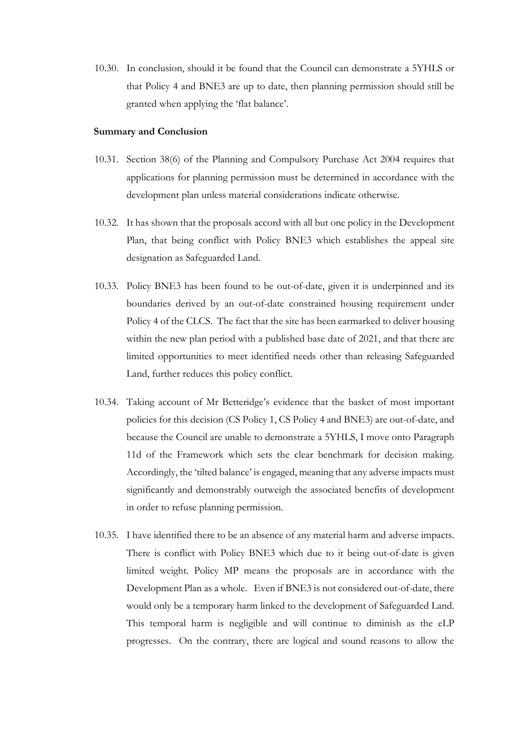10.30. In conclusion, should it be found that the Council can demonstrate a 5YHLS or that Policy 4 and BNE3 are up to date, then planning permission should still be granted when applying the 'flat balance'.

#### **Summary and Conclusion**

- 10.31. Section 38(6) of the Planning and Compulsory Purchase Act 2004 requires that applications for planning permission must be determined in accordance with the development plan unless material considerations indicate otherwise.
- 10.32. It has shown that the proposals accord with all but one policy in the Development Plan, that being conflict with Policy BNE3 which establishes the appeal site designation as Safeguarded Land.
- 10.33. Policy BNE3 has been found to be out-of-date, given it is underpinned and its boundaries derived by an out-of-date constrained housing requirement under Policy 4 of the CLCS. The fact that the site has been earmarked to deliver housing within the new plan period with a published base date of 2021, and that there are limited opportunities to meet identified needs other than releasing Safeguarded Land, further reduces this policy conflict.
- 10.34. Taking account of Mr Betteridge's evidence that the basket of most important policies for this decision (CS Policy 1, CS Policy 4 and BNE3) are out-of-date, and because the Council are unable to demonstrate a 5YHLS, I move onto Paragraph 11d of the Framework which sets the clear benchmark for decision making. Accordingly, the 'tilted balance' is engaged, meaning that any adverse impacts must significantly and demonstrably outweigh the associated benefits of development in order to refuse planning permission.
- 10.35. I have identified there to be an absence of any material harm and adverse impacts. There is conflict with Policy BNE3 which due to it being out-of-date is given limited weight. Policy MP means the proposals are in accordance with the Development Plan as a whole. Even if BNE3 is not considered out-of-date, there would only be a temporary harm linked to the development of Safeguarded Land. This temporal harm is negligible and will continue to diminish as the eLP progresses. On the contrary, there are logical and sound reasons to allow the